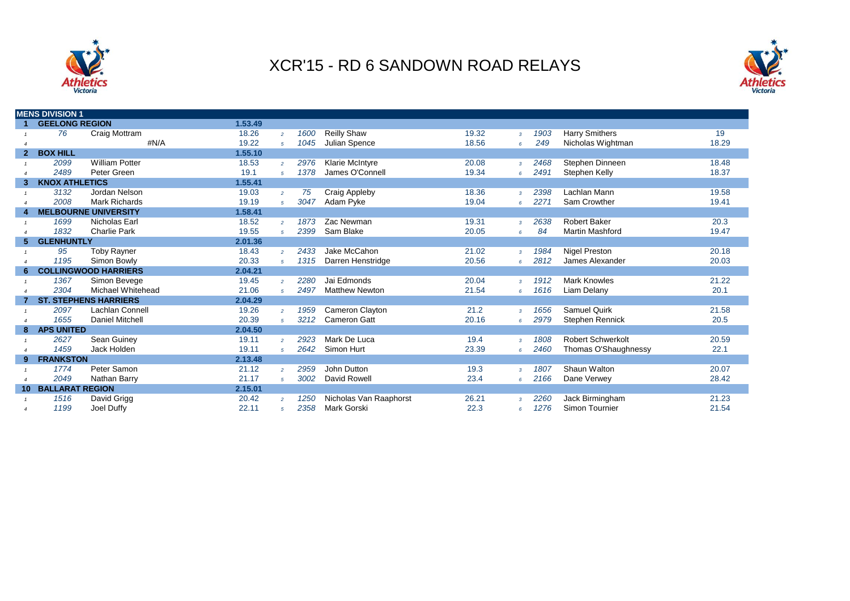



|                | <b>MENS DIVISION 1</b> |                              |         |                |      |                        |       |                |      |                          |       |
|----------------|------------------------|------------------------------|---------|----------------|------|------------------------|-------|----------------|------|--------------------------|-------|
|                | <b>GEELONG REGION</b>  |                              | 1.53.49 |                |      |                        |       |                |      |                          |       |
|                | 76                     | Craig Mottram                | 18.26   | $\overline{a}$ | 1600 | <b>Reilly Shaw</b>     | 19.32 | $\overline{3}$ | 1903 | <b>Harry Smithers</b>    | 19    |
|                |                        | #N/A                         | 19.22   | 5 <sup>5</sup> | 1045 | Julian Spence          | 18.56 | 6              | 249  | Nicholas Wightman        | 18.29 |
| 2 <sup>1</sup> | <b>BOX HILL</b>        |                              | 1.55.10 |                |      |                        |       |                |      |                          |       |
|                | 2099                   | <b>William Potter</b>        | 18.53   | $\overline{2}$ | 2976 | Klarie McIntyre        | 20.08 | $\overline{3}$ | 2468 | Stephen Dinneen          | 18.48 |
|                | 2489                   | Peter Green                  | 19.1    | $5^{\circ}$    | 1378 | James O'Connell        | 19.34 | 6              | 2491 | Stephen Kelly            | 18.37 |
| 3              | <b>KNOX ATHLETICS</b>  |                              | 1.55.41 |                |      |                        |       |                |      |                          |       |
|                | 3132                   | Jordan Nelson                | 19.03   | $\overline{2}$ | 75   | Craig Appleby          | 18.36 | $\mathbf{3}$   | 2398 | Lachlan Mann             | 19.58 |
|                | 2008                   | Mark Richards                | 19.19   | $5^{\circ}$    | 3047 | Adam Pyke              | 19.04 | 6              | 2271 | Sam Crowther             | 19.41 |
|                |                        | <b>MELBOURNE UNIVERSITY</b>  | 1.58.41 |                |      |                        |       |                |      |                          |       |
|                | 1699                   | Nicholas Earl                | 18.52   | $\overline{2}$ | 1873 | Zac Newman             | 19.31 | $\overline{3}$ | 2638 | <b>Robert Baker</b>      | 20.3  |
|                | 1832                   | <b>Charlie Park</b>          | 19.55   | $5^{\circ}$    | 2399 | Sam Blake              | 20.05 | 6              | 84   | <b>Martin Mashford</b>   | 19.47 |
| 5.             | <b>GLENHUNTLY</b>      |                              | 2.01.36 |                |      |                        |       |                |      |                          |       |
|                | 95                     | <b>Toby Rayner</b>           | 18.43   | $\overline{2}$ | 2433 | Jake McCahon           | 21.02 | $\overline{3}$ | 1984 | <b>Nigel Preston</b>     | 20.18 |
|                | 1195                   | Simon Bowly                  | 20.33   | 5 <sup>5</sup> | 1315 | Darren Henstridge      | 20.56 | $6^{\circ}$    | 2812 | James Alexander          | 20.03 |
| 6.             |                        | <b>COLLINGWOOD HARRIERS</b>  | 2.04.21 |                |      |                        |       |                |      |                          |       |
|                | 1367                   | Simon Bevege                 | 19.45   | $\overline{2}$ | 2280 | Jai Edmonds            | 20.04 | $\overline{3}$ | 1912 | <b>Mark Knowles</b>      | 21.22 |
|                | 2304                   | Michael Whitehead            | 21.06   | $5^{\circ}$    | 2497 | <b>Matthew Newton</b>  | 21.54 | 6              | 1616 | Liam Delany              | 20.1  |
|                |                        | <b>ST. STEPHENS HARRIERS</b> | 2.04.29 |                |      |                        |       |                |      |                          |       |
|                | 2097                   | Lachlan Connell              | 19.26   | $\overline{2}$ | 1959 | <b>Cameron Clayton</b> | 21.2  | $\overline{3}$ | 1656 | <b>Samuel Quirk</b>      | 21.58 |
|                | 1655                   | Daniel Mitchell              | 20.39   | $5^{\circ}$    | 3212 | <b>Cameron Gatt</b>    | 20.16 | 6              | 2979 | <b>Stephen Rennick</b>   | 20.5  |
| 8              | <b>APS UNITED</b>      |                              | 2.04.50 |                |      |                        |       |                |      |                          |       |
|                | 2627                   | Sean Guiney                  | 19.11   | $\overline{2}$ | 2923 | Mark De Luca           | 19.4  | $\overline{3}$ | 1808 | <b>Robert Schwerkolt</b> | 20.59 |
|                | 1459                   | Jack Holden                  | 19.11   | $5^{\circ}$    | 2642 | Simon Hurt             | 23.39 | 6              | 2460 | Thomas O'Shaughnessy     | 22.1  |
| 9              | <b>FRANKSTON</b>       |                              | 2.13.48 |                |      |                        |       |                |      |                          |       |
|                | 1774                   | Peter Samon                  | 21.12   | $\overline{2}$ | 2959 | John Dutton            | 19.3  | $\mathbf{3}$   | 1807 | Shaun Walton             | 20.07 |
|                | 2049                   | Nathan Barry                 | 21.17   | $5^{\circ}$    | 3002 | David Rowell           | 23.4  | $6^{\circ}$    | 2166 | Dane Verwey              | 28.42 |
| 10             | <b>BALLARAT REGION</b> |                              | 2.15.01 |                |      |                        |       |                |      |                          |       |
|                | 1516                   | David Grigg                  | 20.42   | $\mathfrak{p}$ | 1250 | Nicholas Van Raaphorst | 26.21 | $\mathcal{R}$  | 2260 | Jack Birmingham          | 21.23 |
|                | 1199                   | Joel Duffy                   | 22.11   | $\sqrt{5}$     | 2358 | <b>Mark Gorski</b>     | 22.3  | 6              | 1276 | Simon Tournier           | 21.54 |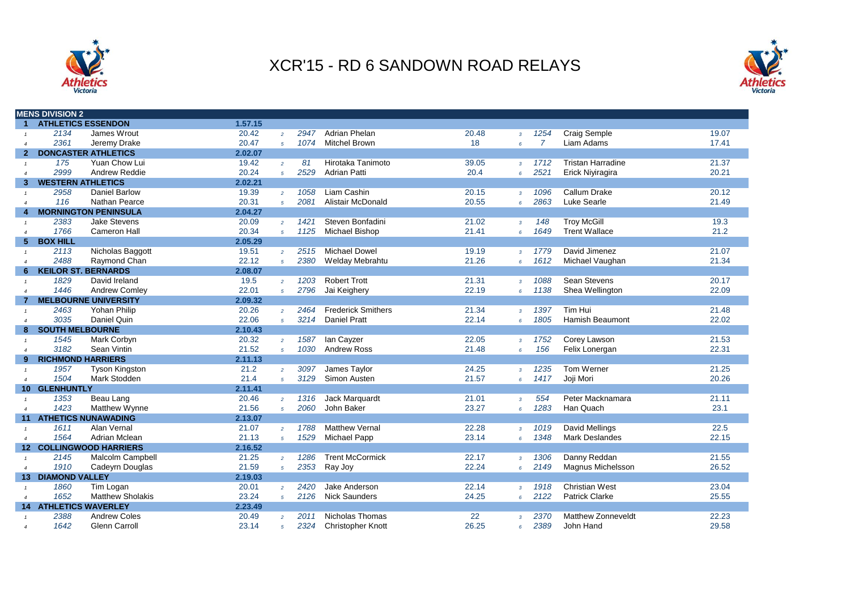



|                        | <b>MENS DIVISION 2</b>     |                             |         |                |      |                           |       |                 |                |                           |       |
|------------------------|----------------------------|-----------------------------|---------|----------------|------|---------------------------|-------|-----------------|----------------|---------------------------|-------|
| $\mathbf{1}$           | <b>ATHLETICS ESSENDON</b>  |                             | 1.57.15 |                |      |                           |       |                 |                |                           |       |
|                        | 2134                       | James Wrout                 | 20.42   | $\overline{2}$ | 2947 | <b>Adrian Phelan</b>      | 20.48 | $\overline{3}$  | 1254           | <b>Craig Semple</b>       | 19.07 |
|                        | 2361                       | Jeremy Drake                | 20.47   | 5 <sup>5</sup> | 1074 | <b>Mitchel Brown</b>      | 18    | $6^{\circ}$     | $\overline{7}$ | Liam Adams                | 17.41 |
| $\overline{2}$         |                            | <b>DONCASTER ATHLETICS</b>  | 2.02.07 |                |      |                           |       |                 |                |                           |       |
| $\mathbf{1}$           | 175                        | Yuan Chow Lui               | 19.42   | $\overline{2}$ | 81   | Hirotaka Tanimoto         | 39.05 | $\overline{3}$  | 1712           | <b>Tristan Harradine</b>  | 21.37 |
| $\boldsymbol{\Lambda}$ | 2999                       | <b>Andrew Reddie</b>        | 20.24   | $\overline{5}$ | 2529 | <b>Adrian Patti</b>       | 20.4  | 6               | 2521           | Erick Niyiragira          | 20.21 |
| 3                      | <b>WESTERN ATHLETICS</b>   |                             | 2.02.21 |                |      |                           |       |                 |                |                           |       |
|                        | 2958                       | <b>Daniel Barlow</b>        | 19.39   | $\overline{2}$ | 1058 | <b>Liam Cashin</b>        | 20.15 | $\overline{3}$  | 1096           | <b>Callum Drake</b>       | 20.12 |
| $\overline{4}$         | 116                        | Nathan Pearce               | 20.31   | $\overline{5}$ | 2081 | <b>Alistair McDonald</b>  | 20.55 | $6^{\circ}$     | 2863           | <b>Luke Searle</b>        | 21.49 |
| 4                      |                            | <b>MORNINGTON PENINSULA</b> | 2.04.27 |                |      |                           |       |                 |                |                           |       |
|                        | 2383                       | <b>Jake Stevens</b>         | 20.09   | $\overline{2}$ | 1421 | Steven Bonfadini          | 21.02 | $\overline{3}$  | 148            | <b>Troy McGill</b>        | 19.3  |
| $\boldsymbol{\Lambda}$ | 1766                       | Cameron Hall                | 20.34   | $\overline{5}$ | 1125 | Michael Bishop            | 21.41 | $6\overline{6}$ | 1649           | <b>Trent Wallace</b>      | 21.2  |
| 5.                     | <b>BOX HILL</b>            |                             | 2.05.29 |                |      |                           |       |                 |                |                           |       |
|                        | 2113                       | Nicholas Baggott            | 19.51   | $\overline{2}$ | 2515 | <b>Michael Dowel</b>      | 19.19 | $\overline{3}$  | 1779           | David Jimenez             | 21.07 |
| $\boldsymbol{\Lambda}$ | 2488                       | Raymond Chan                | 22.12   | $\sqrt{5}$     | 2380 | Welday Mebrahtu           | 21.26 | 6               | 1612           | Michael Vaughan           | 21.34 |
| 6                      | <b>KEILOR ST. BERNARDS</b> |                             | 2.08.07 |                |      |                           |       |                 |                |                           |       |
|                        | 1829                       | David Ireland               | 19.5    | $\overline{2}$ | 1203 | <b>Robert Trott</b>       | 21.31 | $\overline{3}$  | 1088           | Sean Stevens              | 20.17 |
| $\overline{4}$         | 1446                       | Andrew Comley               | 22.01   | $\overline{5}$ | 2796 | Jai Keighery              | 22.19 | $6^{\circ}$     | 1138           | Shea Wellington           | 22.09 |
|                        |                            | <b>MELBOURNE UNIVERSITY</b> | 2.09.32 |                |      |                           |       |                 |                |                           |       |
| $\mathbf{1}$           | 2463                       | Yohan Philip                | 20.26   | $\overline{2}$ | 2464 | <b>Frederick Smithers</b> | 21.34 | $\overline{3}$  | 1397           | Tim Hui                   | 21.48 |
| $\boldsymbol{\Lambda}$ | 3035                       | Daniel Quin                 | 22.06   | $\overline{5}$ | 3214 | <b>Daniel Pratt</b>       | 22.14 | $\epsilon$      | 1805           | <b>Hamish Beaumont</b>    | 22.02 |
| 8                      | <b>SOUTH MELBOURNE</b>     |                             | 2.10.43 |                |      |                           |       |                 |                |                           |       |
|                        | 1545                       | Mark Corbyn                 | 20.32   | $\overline{2}$ | 1587 | lan Cayzer                | 22.05 | $\overline{3}$  | 1752           | Corey Lawson              | 21.53 |
| $\boldsymbol{\Lambda}$ | 3182                       | Sean Vintin                 | 21.52   | $\overline{5}$ | 1030 | <b>Andrew Ross</b>        | 21.48 | 6               | 156            | Felix Lonergan            | 22.31 |
| 9                      | <b>RICHMOND HARRIERS</b>   |                             | 2.11.13 |                |      |                           |       |                 |                |                           |       |
|                        | 1957                       | <b>Tyson Kingston</b>       | 21.2    | $\overline{2}$ | 3097 | James Taylor              | 24.25 | $\overline{3}$  | 1235           | <b>Tom Werner</b>         | 21.25 |
| $\overline{4}$         | 1504                       | Mark Stodden                | 21.4    | $\overline{5}$ | 3129 | Simon Austen              | 21.57 | $6\overline{6}$ | 1417           | Joji Mori                 | 20.26 |
|                        | 10 GLENHUNTLY              |                             | 2.11.41 |                |      |                           |       |                 |                |                           |       |
|                        | 1353                       | Beau Lang                   | 20.46   | $\overline{2}$ | 1316 | <b>Jack Marquardt</b>     | 21.01 | $\overline{3}$  | 554            | Peter Macknamara          | 21.11 |
| $\overline{a}$         | 1423                       | Matthew Wynne               | 21.56   | $\overline{5}$ | 2060 | John Baker                | 23.27 | $6\overline{6}$ | 1283           | Han Quach                 | 23.1  |
| 11 <sup>1</sup>        |                            | <b>ATHETICS NUNAWADING</b>  | 2.13.07 |                |      |                           |       |                 |                |                           |       |
|                        | 1611                       | Alan Vernal                 | 21.07   | $\overline{2}$ | 1788 | <b>Matthew Vernal</b>     | 22.28 | $\overline{3}$  | 1019           | David Mellings            | 22.5  |
| $\overline{4}$         | 1564                       | Adrian Mclean               | 21.13   | $\overline{5}$ | 1529 | Michael Papp              | 23.14 | $6\overline{6}$ | 1348           | <b>Mark Deslandes</b>     | 22.15 |
| 12 <sup>1</sup>        |                            | <b>COLLINGWOOD HARRIERS</b> | 2.16.52 |                |      |                           |       |                 |                |                           |       |
| $\mathbf{1}$           | 2145                       | <b>Malcolm Campbell</b>     | 21.25   | $\overline{2}$ | 1286 | <b>Trent McCormick</b>    | 22.17 | $\overline{3}$  | 1306           | Danny Reddan              | 21.55 |
| $\overline{4}$         | 1910                       | Cadeyrn Douglas             | 21.59   | $5^{\circ}$    | 2353 | Ray Joy                   | 22.24 | 6 <sup>5</sup>  | 2149           | <b>Magnus Michelsson</b>  | 26.52 |
|                        | <b>13 DIAMOND VALLEY</b>   |                             | 2.19.03 |                |      |                           |       |                 |                |                           |       |
|                        | 1860                       | Tim Logan                   | 20.01   | $\overline{2}$ | 2420 | Jake Anderson             | 22.14 | $\overline{3}$  | 1918           | <b>Christian West</b>     | 23.04 |
| $\boldsymbol{\Lambda}$ | 1652                       | <b>Matthew Sholakis</b>     | 23.24   | $5^{\circ}$    | 2126 | <b>Nick Saunders</b>      | 24.25 | $6^{\circ}$     | 2122           | <b>Patrick Clarke</b>     | 25.55 |
| 14                     | <b>ATHLETICS WAVERLEY</b>  |                             | 2.23.49 |                |      |                           |       |                 |                |                           |       |
|                        | 2388                       | <b>Andrew Coles</b>         | 20.49   | $\overline{2}$ | 2011 | Nicholas Thomas           | 22    | $\mathcal{R}$   | 2370           | <b>Matthew Zonneveldt</b> | 22.23 |
| $\overline{a}$         | 1642                       | Glenn Carroll               | 23.14   | $\sqrt{5}$     | 2324 | <b>Christopher Knott</b>  | 26.25 | 6               | 2389           | John Hand                 | 29.58 |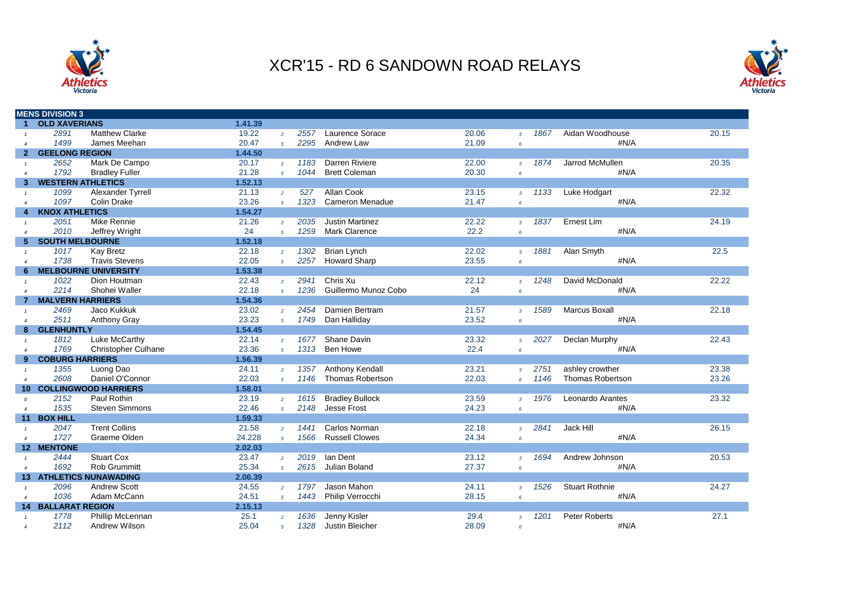



|                        | <b>MENS DIVISION 3</b>   |                                |         |                |      |                         |       |                 |      |                         |       |
|------------------------|--------------------------|--------------------------------|---------|----------------|------|-------------------------|-------|-----------------|------|-------------------------|-------|
| $\blacktriangleleft$   | <b>OLD XAVERIANS</b>     |                                | 1.41.39 |                |      |                         |       |                 |      |                         |       |
|                        | 2891                     | <b>Matthew Clarke</b>          | 19.22   | $\overline{2}$ | 2557 | Laurence Sorace         | 20.06 | $\overline{3}$  | 1867 | Aidan Woodhouse         | 20.15 |
|                        | 1499                     | James Meehan                   | 20.47   | $5^{\circ}$    | 2295 | <b>Andrew Law</b>       | 21.09 | $6\overline{6}$ |      | #N/A                    |       |
| $\mathbf{2}$           | <b>GEELONG REGION</b>    |                                | 1.44.50 |                |      |                         |       |                 |      |                         |       |
| $\mathbf{1}$           | 2652                     | Mark De Campo                  | 20.17   | $\overline{2}$ | 1183 | Darren Riviere          | 22.00 | $\overline{3}$  | 1874 | Jarrod McMullen         | 20.35 |
| $\overline{4}$         | 1792                     | <b>Bradley Fuller</b>          | 21.28   | 5 <sup>1</sup> | 1044 | <b>Brett Coleman</b>    | 20.30 | $6\overline{6}$ |      | #N/A                    |       |
| 3 <sup>1</sup>         | <b>WESTERN ATHLETICS</b> |                                | 1.52.13 |                |      |                         |       |                 |      |                         |       |
| $\mathbf{1}$           | 1099                     | Alexander Tyrrell              | 21.13   | $\overline{2}$ | 527  | <b>Allan Cook</b>       | 23.15 | $\overline{3}$  | 1133 | Luke Hodgart            | 22.32 |
| $\boldsymbol{\Lambda}$ | 1097                     | <b>Colin Drake</b>             | 23.26   | $\overline{5}$ | 1323 | Cameron Menadue         | 21.47 | $\epsilon$      |      | #N/A                    |       |
| 4                      | <b>KNOX ATHLETICS</b>    |                                | 1.54.27 |                |      |                         |       |                 |      |                         |       |
| $\mathbf{1}$           | 2051                     | Mike Rennie                    | 21.26   | $\overline{2}$ | 2035 | <b>Justin Martinez</b>  | 22.22 | $\overline{3}$  | 1837 | Ernest Lim              | 24.19 |
|                        | 2010                     | Jeffrey Wright                 | 24      | 5 <sup>1</sup> | 1259 | <b>Mark Clarence</b>    | 22.2  | $\epsilon$      |      | #N/A                    |       |
| 5                      | <b>SOUTH MELBOURNE</b>   |                                | 1.52.18 |                |      |                         |       |                 |      |                         |       |
| $\mathbf{1}$           | 1017                     | <b>Kay Bretz</b>               | 22.18   | $\overline{2}$ | 1302 | <b>Brian Lynch</b>      | 22.02 | $\overline{3}$  | 1881 | Alan Smyth              | 22.5  |
| $\boldsymbol{\Lambda}$ | 1738                     | <b>Travis Stevens</b>          | 22.05   | 5 <sup>1</sup> | 2257 | <b>Howard Sharp</b>     | 23.55 | $6\overline{6}$ |      | #N/A                    |       |
| 6                      |                          | <b>MELBOURNE UNIVERSITY</b>    | 1.53.38 |                |      |                         |       |                 |      |                         |       |
|                        | 1022                     | Dion Houtman                   | 22.43   | $\overline{2}$ | 2941 | Chris Xu                | 22.12 | $\overline{3}$  | 1248 | David McDonald          | 22.22 |
| $\overline{4}$         | 2214                     | Shohei Waller                  | 22.18   | $5^{\circ}$    | 1236 | Guillermo Munoz Cobo    | 24    | $6\overline{6}$ |      | #N/A                    |       |
| $\overline{7}$         | <b>MALVERN HARRIERS</b>  |                                | 1.54.36 |                |      |                         |       |                 |      |                         |       |
| $\mathbf{1}$           | 2469                     | Jaco Kukkuk                    | 23.02   | $\overline{2}$ | 2454 | Damien Bertram          | 21.57 | $\overline{3}$  | 1589 | <b>Marcus Boxall</b>    | 22.18 |
| $\overline{4}$         | 2511                     | Anthony Gray                   | 23.23   | $5^{\circ}$    | 1749 | Dan Halliday            | 23.52 | $6\overline{6}$ |      | #N/A                    |       |
| 8                      | <b>GLENHUNTLY</b>        |                                | 1.54.45 |                |      |                         |       |                 |      |                         |       |
| $\mathbf{1}$           | 1812                     | Luke McCarthy                  | 22.14   | $\overline{2}$ | 1677 | Shane Davin             | 23.32 | $\overline{3}$  | 2027 | Declan Murphy           | 22.43 |
| $\overline{4}$         | 1769                     | <b>Christopher Culhane</b>     | 23.36   | $5^{\circ}$    | 1313 | Ben Howe                | 22.4  | $\epsilon$      |      | #N/A                    |       |
| 9                      | <b>COBURG HARRIERS</b>   |                                | 1.56.39 |                |      |                         |       |                 |      |                         |       |
| $\mathbf{1}$           | 1355                     | Luong Dao                      | 24.11   | $\overline{2}$ | 1357 | <b>Anthony Kendall</b>  | 23.21 | $\overline{3}$  | 2751 | ashley crowther         | 23.38 |
| $\boldsymbol{\Lambda}$ | 2608                     | Daniel O'Connor                | 22.03   | 5 <sup>1</sup> | 1146 | <b>Thomas Robertson</b> | 22.03 | $6^{\circ}$     | 1146 | <b>Thomas Robertson</b> | 23.26 |
| 10                     |                          | <b>COLLINGWOOD HARRIERS</b>    | 1.58.01 |                |      |                         |       |                 |      |                         |       |
| $\mathcal{O}$          | 2152                     | Paul Rothin                    | 23.19   | $\overline{2}$ | 1615 | <b>Bradley Bullock</b>  | 23.59 | $\overline{3}$  | 1976 | <b>Leonardo Arantes</b> | 23.32 |
| $\overline{4}$         | 1535                     | <b>Steven Simmons</b>          | 22.46   | $5^{\circ}$    | 2148 | Jesse Frost             | 24.23 | $6\overline{6}$ |      | #N/A                    |       |
|                        | 11 BOX HILL              |                                | 1.59.33 |                |      |                         |       |                 |      |                         |       |
|                        | 2047                     | <b>Trent Collins</b>           | 21.58   | $\overline{2}$ | 1441 | <b>Carlos Norman</b>    | 22.18 | $\overline{3}$  | 2841 | Jack Hill               | 26.15 |
| $\overline{4}$         | 1727                     | Graeme Olden                   | 24.228  | $5^{\circ}$    | 1566 | <b>Russell Clowes</b>   | 24.34 | $6^{\circ}$     |      | #N/A                    |       |
|                        | <b>12 MENTONE</b>        |                                | 2.02.03 |                |      |                         |       |                 |      |                         |       |
|                        | 2444                     | <b>Stuart Cox</b>              | 23.47   | $\overline{2}$ | 2019 | Ian Dent                | 23.12 | $\overline{3}$  | 1694 | Andrew Johnson          | 20.53 |
| $\overline{4}$         | 1692                     | <b>Rob Grummitt</b>            | 25.34   | $5^{\circ}$    | 2615 | Julian Boland           | 27.37 | $\epsilon$      |      | #N/A                    |       |
|                        |                          | <b>13 ATHLETICS NUNAWADING</b> | 2.06.39 |                |      |                         |       |                 |      |                         |       |
|                        | 2096                     | <b>Andrew Scott</b>            | 24.55   | $\overline{2}$ | 1797 | Jason Mahon             | 24.11 | $\overline{3}$  | 1526 | <b>Stuart Rothnie</b>   | 24.27 |
| $\boldsymbol{\Lambda}$ | 1036                     | Adam McCann                    | 24.51   | $5^{\circ}$    | 1443 | Philip Verrocchi        | 28.15 | $\epsilon$      |      | #N/A                    |       |
| 14                     | <b>BALLARAT REGION</b>   |                                | 2.15.13 |                |      |                         |       |                 |      |                         |       |
|                        | 1778                     | Phillip McLennan               | 25.1    | $\overline{2}$ | 1636 | Jenny Kisler            | 29.4  | $\overline{3}$  | 1201 | Peter Roberts           | 27.1  |
| $\boldsymbol{\Lambda}$ | 2112                     | Andrew Wilson                  | 25.04   | 5              | 1328 | Justin Bleicher         | 28.09 | $6\overline{6}$ |      | #N/A                    |       |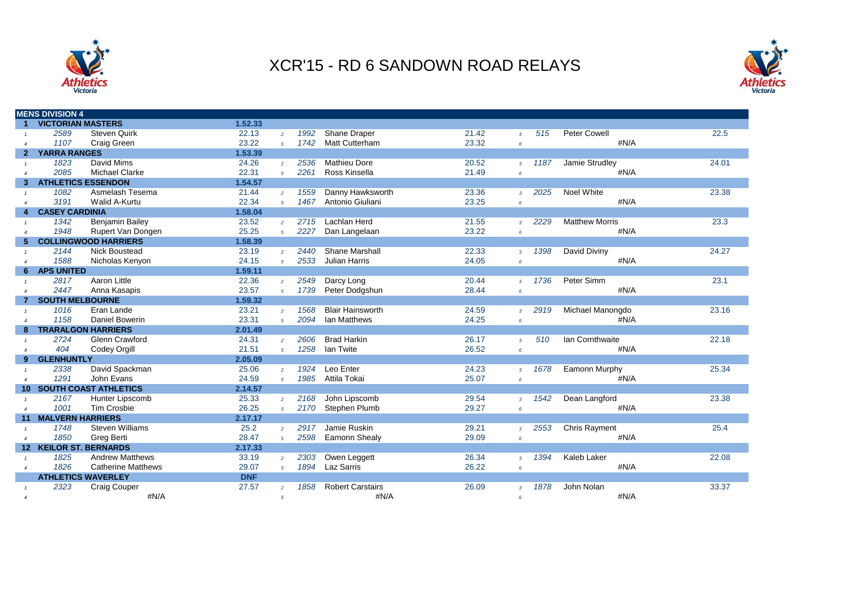



|                        | <b>MENS DIVISION 4</b>        |                                 |            |                |      |                         |       |                 |      |                       |       |
|------------------------|-------------------------------|---------------------------------|------------|----------------|------|-------------------------|-------|-----------------|------|-----------------------|-------|
| 1 <sup>1</sup>         | <b>VICTORIAN MASTERS</b>      |                                 | 1.52.33    |                |      |                         |       |                 |      |                       |       |
|                        | 2589                          | <b>Steven Quirk</b>             | 22.13      | $\overline{2}$ | 1992 | Shane Draper            | 21.42 | $\overline{3}$  | 515  | <b>Peter Cowell</b>   | 22.5  |
| $\boldsymbol{\Lambda}$ | 1107                          | <b>Craig Green</b>              | 23.22      | $5^{\circ}$    | 1742 | <b>Matt Cutterham</b>   | 23.32 | $6\overline{6}$ |      | #N/A                  |       |
|                        | <b>YARRA RANGES</b>           |                                 | 1.53.39    |                |      |                         |       |                 |      |                       |       |
|                        | 1823                          | <b>David Mims</b>               | 24.26      | $\overline{2}$ | 2536 | <b>Mathieu Dore</b>     | 20.52 | $\overline{3}$  | 1187 | Jamie Strudley        | 24.01 |
| $\boldsymbol{\Lambda}$ | 2085                          | <b>Michael Clarke</b>           | 22.31      | $5^{\circ}$    | 2261 | Ross Kinsella           | 21.49 | $6\overline{6}$ |      | #N/A                  |       |
| 3                      | <b>ATHLETICS ESSENDON</b>     |                                 | 1.54.57    |                |      |                         |       |                 |      |                       |       |
|                        | 1082                          | Asmelash Tesema                 | 21.44      | $\overline{2}$ | 1559 | Danny Hawksworth        | 23.36 | $\overline{3}$  | 2025 | Noel White            | 23.38 |
| $\boldsymbol{\Lambda}$ | 3191                          | Walid A-Kurtu                   | 22.34      | $\overline{5}$ | 1467 | Antonio Giuliani        | 23.25 | 6               |      | #N/A                  |       |
|                        | <b>CASEY CARDINIA</b>         |                                 | 1.58.04    |                |      |                         |       |                 |      |                       |       |
|                        | 1342                          | <b>Benjamin Bailey</b>          | 23.52      | $2^{\circ}$    | 2715 | Lachlan Herd            | 21.55 | $\mathcal{R}$   | 2229 | <b>Matthew Morris</b> | 23.3  |
| $\boldsymbol{\Lambda}$ | 1948                          | Rupert Van Dongen               | 25.25      | 5 <sup>1</sup> | 2227 | Dan Langelaan           | 23.22 | $\epsilon$      |      | #N/A                  |       |
| 5.                     |                               | <b>COLLINGWOOD HARRIERS</b>     | 1.58.39    |                |      |                         |       |                 |      |                       |       |
|                        | 2144                          | <b>Nick Boustead</b>            | 23.19      | $\overline{2}$ | 2440 | Shane Marshall          | 22.33 | $\overline{3}$  | 1398 | David Diviny          | 24.27 |
| $\boldsymbol{\Lambda}$ | 1588                          | Nicholas Kenyon                 | 24.15      | $\overline{5}$ | 2533 | Julian Harris           | 24.05 | $\epsilon$      |      | #N/A                  |       |
| 6                      | <b>APS UNITED</b>             |                                 | 1.59.11    |                |      |                         |       |                 |      |                       |       |
|                        | 2817                          | Aaron Little                    | 22.36      | $\overline{2}$ | 2549 | Darcy Long              | 20.44 | $\mathcal{R}$   | 1736 | Peter Simm            | 23.1  |
| $\boldsymbol{\Lambda}$ | 2447                          | Anna Kasapis                    | 23.57      | $\sqrt{5}$     | 1739 | Peter Dodgshun          | 28.44 | $6\overline{6}$ |      | #N/A                  |       |
|                        | <b>SOUTH MELBOURNE</b>        |                                 | 1.59.32    |                |      |                         |       |                 |      |                       |       |
|                        | 1016                          | Eran Lande                      | 23.21      | $\mathfrak{p}$ | 1568 | <b>Blair Hainsworth</b> | 24.59 | $\overline{3}$  | 2919 | Michael Manongdo      | 23.16 |
|                        | 1158                          | Daniel Bowerin                  | 23.31      | $5^{\circ}$    | 2094 | <b>Ian Matthews</b>     | 24.25 | $6\overline{6}$ |      | #N/A                  |       |
| 8                      |                               | <b>TRARALGON HARRIERS</b>       | 2.01.49    |                |      |                         |       |                 |      |                       |       |
|                        | 2724                          | <b>Glenn Crawford</b>           | 24.31      | $\overline{a}$ | 2606 | <b>Brad Harkin</b>      | 26.17 | $\overline{3}$  | 510  | Ian Cornthwaite       | 22.18 |
|                        | 404                           | <b>Codey Orgill</b>             | 21.51      | 5 <sup>1</sup> | 1258 | <b>Ian Twite</b>        | 26.52 | $6\overline{6}$ |      | #N/A                  |       |
|                        | <b>GLENHUNTLY</b>             |                                 | 2.05.09    |                |      |                         |       |                 |      |                       |       |
|                        | 2338                          | David Spackman                  | 25.06      | $\overline{2}$ | 1924 | Leo Enter               | 24.23 | $\overline{3}$  | 1678 | Eamonn Murphy         | 25.34 |
| $\boldsymbol{\Lambda}$ | 1291                          | John Evans                      | 24.59      | $5^{\circ}$    | 1985 | Attila Tokai            | 25.07 | $6\overline{6}$ |      | #N/A                  |       |
|                        |                               | <b>10 SOUTH COAST ATHLETICS</b> | 2.14.57    |                |      |                         |       |                 |      |                       |       |
|                        | 2167                          | Hunter Lipscomb                 | 25.33      | $\overline{2}$ | 2168 | John Lipscomb           | 29.54 | $\mathbf{3}$    | 1542 | Dean Langford         | 23.38 |
| $\boldsymbol{\Lambda}$ | 1001                          | <b>Tim Crosbie</b>              | 26.25      | $5-1$          | 2170 | Stephen Plumb           | 29.27 | 6               |      | #N/A                  |       |
|                        | <b>11 MALVERN HARRIERS</b>    |                                 | 2.17.17    |                |      |                         |       |                 |      |                       |       |
|                        | 1748                          | <b>Steven Williams</b>          | 25.2       | $\overline{2}$ | 2917 | Jamie Ruskin            | 29.21 | $\overline{3}$  | 2553 | <b>Chris Rayment</b>  | 25.4  |
| $\boldsymbol{\Lambda}$ | 1850                          | Greg Berti                      | 28.47      | $\sqrt{5}$     | 2598 | <b>Eamonn Shealy</b>    | 29.09 | $\epsilon$      |      | #N/A                  |       |
|                        | <b>12 KEILOR ST. BERNARDS</b> |                                 | 2.17.33    |                |      |                         |       |                 |      |                       |       |
| $\mathbf{1}$           | 1825                          | <b>Andrew Matthews</b>          | 33.19      | $2^{\circ}$    | 2303 | Owen Leggett            | 26.34 | $\overline{3}$  | 1394 | Kaleb Laker           | 22.08 |
| $\overline{4}$         | 1826                          | <b>Catherine Matthews</b>       | 29.07      | $5^{\circ}$    | 1894 | Laz Sarris              | 26.22 | $\epsilon$      |      | #N/A                  |       |
|                        | <b>ATHLETICS WAVERLEY</b>     |                                 | <b>DNF</b> |                |      |                         |       |                 |      |                       |       |
|                        | 2323                          | <b>Craig Couper</b>             | 27.57      | $\mathcal{P}$  | 1858 | <b>Robert Carstairs</b> | 26.09 | $\mathbf{3}$    | 1878 | John Nolan            | 33.37 |
|                        |                               | #N/A                            |            | $\overline{5}$ |      | #N/A                    |       | 6               |      | #N/A                  |       |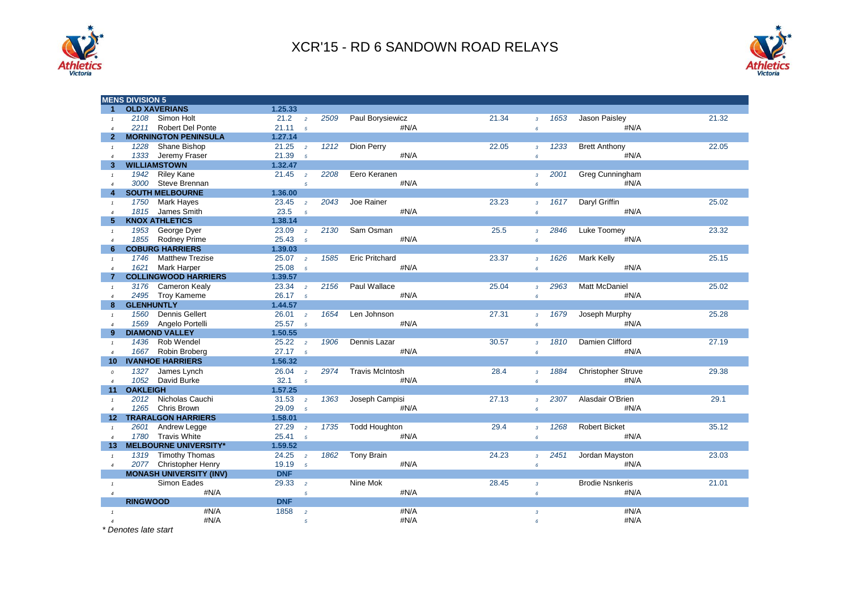



|                 | <b>MENS DIVISION 5</b>          |                         |      |                        |       |                 |      |                        |       |
|-----------------|---------------------------------|-------------------------|------|------------------------|-------|-----------------|------|------------------------|-------|
| $\mathbf{1}$    | <b>OLD XAVERIANS</b>            | 1.25.33                 |      |                        |       |                 |      |                        |       |
|                 | 2108 Simon Holt                 | 21.2<br>$\overline{2}$  | 2509 | Paul Borysiewicz       | 21.34 | $\overline{3}$  | 1653 | Jason Paisley          | 21.32 |
| $\overline{a}$  | 2211<br><b>Robert Del Ponte</b> | 21.11<br>$\overline{5}$ |      | #N/A                   |       | $\pmb{6}$       |      | #N/A                   |       |
| $\mathbf{2}$    | <b>MORNINGTON PENINSULA</b>     | 1.27.14                 |      |                        |       |                 |      |                        |       |
| $\mathbf{1}$    | Shane Bishop<br>1228            | 21.25<br>$\overline{2}$ | 1212 | Dion Perry             | 22.05 | $\overline{3}$  | 1233 | <b>Brett Anthony</b>   | 22.05 |
| $\overline{4}$  | 1333<br>Jeremy Fraser           | 21.39<br>$\overline{5}$ |      | #N/A                   |       | $\epsilon$      |      | #N/A                   |       |
| 3               | <b>WILLIAMSTOWN</b>             | 1.32.47                 |      |                        |       |                 |      |                        |       |
| $\mathbf{1}$    | 1942<br><b>Riley Kane</b>       | 21.45<br>$\overline{2}$ | 2208 | Eero Keranen           |       | $\mathbf{3}$    | 2001 | Greg Cunningham        |       |
| $\overline{4}$  | Steve Brennan<br>3000           | $\overline{5}$          |      | #N/A                   |       | $6\overline{6}$ |      | #N/A                   |       |
| 4               | <b>SOUTH MELBOURNE</b>          | 1.36.00                 |      |                        |       |                 |      |                        |       |
| $\mathbf{1}$    | 1750<br>Mark Hayes              | 23.45<br>$\overline{2}$ | 2043 | Joe Rainer             | 23.23 | $\mathbf{3}$    | 1617 | Daryl Griffin          | 25.02 |
| $\overline{4}$  | 1815<br>James Smith             | 23.5<br>$\overline{5}$  |      | #N/A                   |       | $6\overline{6}$ |      | #N/A                   |       |
| 5               | <b>KNOX ATHLETICS</b>           | 1.38.14                 |      |                        |       |                 |      |                        |       |
| $\mathbf{1}$    | 1953<br>George Dyer             | 23.09<br>$\overline{2}$ | 2130 | Sam Osman              | 25.5  | $\overline{3}$  | 2846 | Luke Toomey            | 23.32 |
| $\overline{4}$  | 1855 Rodney Prime               | 25.43<br>$\overline{5}$ |      | #N/A                   |       | $6\overline{6}$ |      | #N/A                   |       |
| 6               | <b>COBURG HARRIERS</b>          | 1.39.03                 |      |                        |       |                 |      |                        |       |
| $\mathbf{1}$    | 1746 Matthew Trezise            | 25.07<br>$\overline{2}$ | 1585 | <b>Eric Pritchard</b>  | 23.37 | $\overline{3}$  | 1626 | Mark Kelly             | 25.15 |
| $\overline{4}$  | 1621 Mark Harper                | 25.08<br>$\overline{5}$ |      | #N/A                   |       | $6\overline{6}$ |      | #N/A                   |       |
| 7               | <b>COLLINGWOOD HARRIERS</b>     | 1.39.57                 |      |                        |       |                 |      |                        |       |
| $\mathcal{I}$   | 3176<br>Cameron Kealy           | 23.34<br>$\overline{2}$ | 2156 | Paul Wallace           | 25.04 | $\overline{3}$  | 2963 | <b>Matt McDaniel</b>   | 25.02 |
| $\overline{4}$  | 2495<br><b>Troy Kameme</b>      | 26.17<br>$\overline{5}$ |      | #N/A                   |       | 6               |      | #N/A                   |       |
| 8               | <b>GLENHUNTLY</b>               | 1.44.57                 |      |                        |       |                 |      |                        |       |
| $\mathbf{1}$    | <b>Dennis Gellert</b><br>1560   | 26.01<br>$\overline{2}$ | 1654 | Len Johnson            | 27.31 | $\overline{3}$  | 1679 | Joseph Murphy          | 25.28 |
| $\overline{4}$  | 1569 Angelo Portelli            | 25.57<br>$\overline{5}$ |      | #N/A                   |       | $\epsilon$      |      | #N/A                   |       |
| $\mathbf{Q}$    | <b>DIAMOND VALLEY</b>           | 1.50.55                 |      |                        |       |                 |      |                        |       |
| $\mathbf{1}$    | Rob Wendel<br>1436              | 25.22<br>$\overline{2}$ | 1906 | Dennis Lazar           | 30.57 | $\overline{3}$  | 1810 | Damien Clifford        | 27.19 |
| $\overline{4}$  | 1667<br>Robin Broberg           | 27.17<br>$\overline{5}$ |      | #N/A                   |       | $6\overline{6}$ |      | #N/A                   |       |
| 10              | <b>IVANHOE HARRIERS</b>         | 1.56.32                 |      |                        |       |                 |      |                        |       |
| $\cal O$        | 1327<br>James Lynch             | 26.04<br>$\overline{2}$ | 2974 | <b>Travis McIntosh</b> | 28.4  | $\overline{3}$  | 1884 | Christopher Struve     | 29.38 |
| $\overline{a}$  | David Burke<br>1052             | 32.1<br>$\overline{5}$  |      | #N/A                   |       | $\epsilon$      |      | #N/A                   |       |
| 11              | <b>OAKLEIGH</b>                 | 1.57.25                 |      |                        |       |                 |      |                        |       |
| $\mathbf{1}$    | Nicholas Cauchi<br>2012         | 31.53<br>$\overline{2}$ | 1363 | Joseph Campisi         | 27.13 | $\overline{3}$  | 2307 | Alasdair O'Brien       | 29.1  |
| $\overline{4}$  | 1265<br>Chris Brown             | 29.09<br>$\overline{5}$ |      | #N/A                   |       | $\pmb{6}$       |      | #N/A                   |       |
| 12 <sup>2</sup> | <b>TRARALGON HARRIERS</b>       | 1.58.01                 |      |                        |       |                 |      |                        |       |
| $\mathbf{1}$    | 2601<br>Andrew Legge            | 27.29<br>$\overline{2}$ | 1735 | <b>Todd Houghton</b>   | 29.4  | $\mathbf{3}$    | 1268 | <b>Robert Bicket</b>   | 35.12 |
| $\overline{4}$  | 1780 Travis White               | 25.41<br>$\overline{5}$ |      | #N/A                   |       | $6\overline{6}$ |      | #N/A                   |       |
| 13 <sup>°</sup> | <b>MELBOURNE UNIVERSITY*</b>    | 1.59.52                 |      |                        |       |                 |      |                        |       |
| $\mathbf{1}$    | 1319<br><b>Timothy Thomas</b>   | 24.25<br>$\overline{2}$ | 1862 | Tony Brain             | 24.23 | $\overline{3}$  | 2451 | Jordan Mayston         | 23.03 |
| $\overline{4}$  | Christopher Henry<br>2077       | 19.19<br>$\overline{5}$ |      | #N/A                   |       | 6               |      | #N/A                   |       |
|                 | <b>MONASH UNIVERSITY (INV)</b>  | <b>DNF</b>              |      |                        |       |                 |      |                        |       |
| $\mathbf{1}$    | Simon Eades                     | 29.33<br>$\overline{a}$ |      | Nine Mok               | 28.45 | $\mathbf{3}$    |      | <b>Brodie Nsnkeris</b> | 21.01 |
| $\overline{4}$  | #N/A                            | $\overline{5}$          |      | #N/A                   |       | $6\overline{6}$ |      | #N/A                   |       |
|                 | <b>RINGWOOD</b>                 | <b>DNF</b>              |      |                        |       |                 |      |                        |       |
| $\mathbf{1}$    | #N/A                            | 1858<br>$\overline{a}$  |      | #N/A                   |       | $\mathbf{3}$    |      | #N/A                   |       |
| $\overline{4}$  | #N/A                            | $\overline{5}$          |      | #N/A                   |       | $6\overline{6}$ |      | #N/A                   |       |

*\* Denotes late start*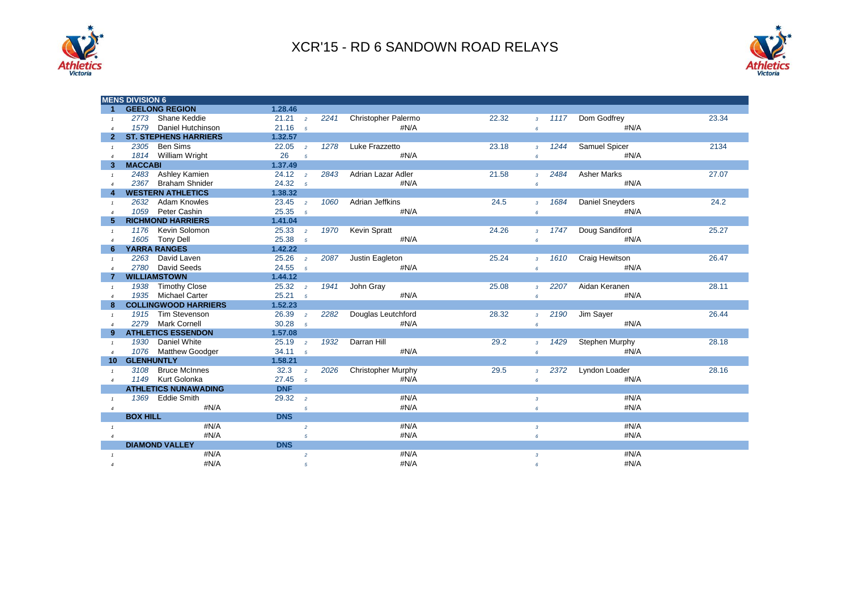



|                       | <b>MENS DIVISION 6</b>        |                          |      |                           |       |                        |                        |       |
|-----------------------|-------------------------------|--------------------------|------|---------------------------|-------|------------------------|------------------------|-------|
|                       | <b>GEELONG REGION</b>         | 1.28.46                  |      |                           |       |                        |                        |       |
|                       | Shane Keddie<br>2773          | 21.21<br>$\overline{2}$  | 2241 | Christopher Palermo       | 22.32 | 1117<br>$\overline{3}$ | Dom Godfrey            | 23.34 |
| $\overline{a}$        | Daniel Hutchinson<br>1579     | 21.16<br>$\overline{5}$  |      | #N/A                      |       | $6\overline{6}$        | #N/A                   |       |
|                       | <b>ST. STEPHENS HARRIERS</b>  | 1.32.57                  |      |                           |       |                        |                        |       |
| $\mathbf{1}$          | 2305<br>Ben Sims              | 22.05<br>$\overline{2}$  | 1278 | Luke Frazzetto            | 23.18 | 1244<br>$\overline{3}$ | Samuel Spicer          | 2134  |
| $\overline{4}$        | 1814 William Wright           | 26<br>$\overline{5}$     |      | #N/A                      |       | $6\overline{6}$        | #N/A                   |       |
| 3                     | <b>MACCABI</b>                | 1.37.49                  |      |                           |       |                        |                        |       |
| $\mathbf{1}$          | 2483 Ashley Kamien            | 24.12<br>$\overline{2}$  | 2843 | Adrian Lazar Adler        | 21.58 | 2484<br>$\overline{3}$ | <b>Asher Marks</b>     | 27.07 |
| $\overline{a}$        | <b>Braham Shnider</b><br>2367 | 24.32<br>$5\overline{5}$ |      | #N/A                      |       | $6\overline{6}$        | #N/A                   |       |
|                       | <b>WESTERN ATHLETICS</b>      | 1.38.32                  |      |                           |       |                        |                        |       |
| $\mathbf{1}$          | 2632<br><b>Adam Knowles</b>   | 23.45<br>$\overline{2}$  | 1060 | Adrian Jeffkins           | 24.5  | 1684<br>$\overline{3}$ | <b>Daniel Sneyders</b> | 24.2  |
| $\boldsymbol{\Delta}$ | 1059<br>Peter Cashin          | 25.35<br>$\overline{5}$  |      | #N/A                      |       | $\pmb{6}$              | #N/A                   |       |
|                       | <b>RICHMOND HARRIERS</b>      | 1.41.04                  |      |                           |       |                        |                        |       |
|                       | Kevin Solomon<br>1176         | 25.33<br>$\overline{2}$  | 1970 | Kevin Spratt              | 24.26 | 1747<br>$\overline{3}$ | Doug Sandiford         | 25.27 |
| $\overline{a}$        | 1605<br><b>Tony Dell</b>      | 25.38<br>$5^{\circ}$     |      | #N/A                      | 6     |                        | #N/A                   |       |
| 6                     | <b>YARRA RANGES</b>           | 1.42.22                  |      |                           |       |                        |                        |       |
|                       | David Laven<br>2263           | 25.26<br>$\overline{2}$  | 2087 | Justin Eagleton           | 25.24 | 1610<br>$\overline{3}$ | Craig Hewitson         | 26.47 |
| $\overline{4}$        | David Seeds<br>2780           | 24.55<br>$\overline{5}$  |      | #N/A                      |       | $6\overline{6}$        | #N/A                   |       |
|                       | <b>WILLIAMSTOWN</b>           | 1.44.12                  |      |                           |       |                        |                        |       |
| $\mathbf{1}$          | <b>Timothy Close</b><br>1938  | 25.32<br>$\overline{2}$  | 1941 | John Gray                 | 25.08 | 2207<br>$\overline{3}$ | Aidan Keranen          | 28.11 |
| $\overline{4}$        | 1935 Michael Carter           | 25.21<br>$\overline{5}$  |      | #N/A                      |       | $6\overline{6}$        | #N/A                   |       |
| 8                     | <b>COLLINGWOOD HARRIERS</b>   | 1.52.23                  |      |                           |       |                        |                        |       |
| $\mathbf{1}$          | <b>Tim Stevenson</b><br>1915  | 26.39<br>$\overline{2}$  | 2282 | Douglas Leutchford        | 28.32 | 2190<br>$\overline{3}$ | Jim Sayer              | 26.44 |
| $\overline{a}$        | <b>Mark Cornell</b><br>2279   | 30.28<br>$\overline{5}$  |      | #N/A                      |       | $\pmb{6}$              | #N/A                   |       |
| 9                     | <b>ATHLETICS ESSENDON</b>     | 1.57.08                  |      |                           |       |                        |                        |       |
| $\mathbf{1}$          | Daniel White<br>1930          | 25.19<br>$\overline{2}$  | 1932 | Darran Hill               | 29.2  | 1429<br>$\overline{3}$ | Stephen Murphy         | 28.18 |
| $\overline{4}$        | 1076 Matthew Goodger          | 34.11<br>$\sqrt{5}$      |      | #N/A                      |       | $\pmb{6}$              | #N/A                   |       |
| 10                    | <b>GLENHUNTLY</b>             | 1.58.21                  |      |                           |       |                        |                        |       |
|                       | <b>Bruce McInnes</b><br>3108  | 32.3<br>$\overline{2}$   | 2026 | <b>Christopher Murphy</b> | 29.5  | 2372<br>$\overline{3}$ | Lyndon Loader          | 28.16 |
| $\overline{4}$        | 1149 Kurt Golonka             | 27.45<br>$\overline{5}$  |      | #N/A                      |       | $6\overline{6}$        | #N/A                   |       |
|                       | <b>ATHLETICS NUNAWADING</b>   | <b>DNF</b>               |      |                           |       |                        |                        |       |
|                       | 1369 Eddie Smith              | 29.32<br>$\overline{2}$  |      | #N/A                      |       | $\overline{3}$         | #N/A                   |       |
| $\overline{4}$        | #N/A                          | $\overline{5}$           |      | #N/A                      | 6     |                        | #N/A                   |       |
|                       | <b>BOX HILL</b>               | <b>DNS</b>               |      |                           |       |                        |                        |       |
| $\mathbf{1}$          | #N/A                          | $\overline{a}$           |      | #N/A                      |       | $\overline{3}$         | #N/A                   |       |
| $\overline{4}$        | #N/A                          | 5                        |      | #N/A                      | 6     |                        | #N/A                   |       |
|                       | <b>DIAMOND VALLEY</b>         | <b>DNS</b>               |      |                           |       |                        |                        |       |
| $\mathbf{1}$          | #N/A                          | $\overline{a}$           |      | #N/A                      |       | $\mathbf{3}$           | #N/A                   |       |
| $\overline{4}$        | #N/A                          | $\sqrt{5}$               |      | #N/A                      |       | 6                      | #N/A                   |       |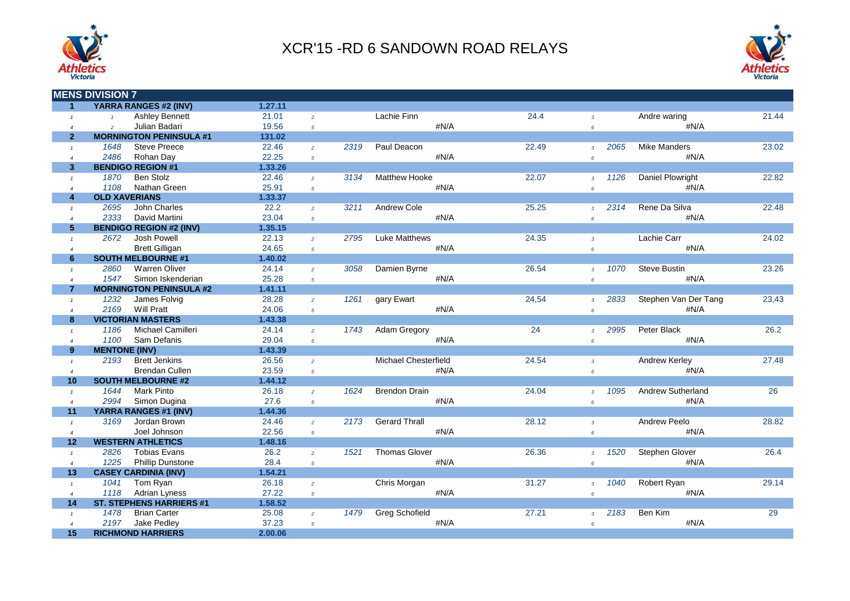



|                      | <b>MENS DIVISION 7</b>                |         |                |      |                       |       |                        |                          |       |
|----------------------|---------------------------------------|---------|----------------|------|-----------------------|-------|------------------------|--------------------------|-------|
| $\blacktriangleleft$ | YARRA RANGES #2 (INV)                 | 1.27.11 |                |      |                       |       |                        |                          |       |
| $\mathbf{1}$         | <b>Ashley Bennett</b><br>$\mathbf{1}$ | 21.01   | $\overline{2}$ |      | Lachie Finn           | 24.4  | $\mathbf{3}$           | Andre waring             | 21.44 |
| $\overline{4}$       | Julian Badari<br>$\overline{2}$       | 19.56   | $\overline{5}$ |      | #N/A                  |       | $6\overline{6}$        | #N/A                     |       |
| $\overline{2}$       | <b>MORNINGTON PENINSULA #1</b>        | 131.02  |                |      |                       |       |                        |                          |       |
| $\mathbf{1}$         | 1648<br><b>Steve Preece</b>           | 22.46   | $\overline{2}$ | 2319 | Paul Deacon           | 22.49 | 2065<br>$\overline{3}$ | <b>Mike Manders</b>      | 23.02 |
| $\overline{4}$       | 2486<br>Rohan Day                     | 22.25   | $\overline{5}$ |      | #N/A                  |       | $\epsilon$             | #N/A                     |       |
| $\mathbf{3}$         | <b>BENDIGO REGION #1</b>              | 1.33.26 |                |      |                       |       |                        |                          |       |
| $\mathbf{1}$         | <b>Ben Stolz</b><br>1870              | 22.46   | $\overline{2}$ | 3134 | <b>Matthew Hooke</b>  | 22.07 | 1126<br>$\overline{3}$ | Daniel Plowright         | 22.82 |
| $\overline{4}$       | 1108<br>Nathan Green                  | 25.91   | $\overline{5}$ |      | #N/A                  |       | $6\overline{6}$        | #N/A                     |       |
| $\overline{4}$       | <b>OLD XAVERIANS</b>                  | 1.33.37 |                |      |                       |       |                        |                          |       |
| $\mathbf{1}$         | 2695<br>John Charles                  | 22.2    | $\overline{2}$ | 3211 | Andrew Cole           | 25.25 | 2314<br>$\overline{3}$ | Rene Da Silva            | 22.48 |
| $\overline{4}$       | 2333<br>David Martini                 | 23.04   | $5^{\circ}$    |      | #N/A                  |       | 6                      | #N/A                     |       |
| 5 <sup>5</sup>       | <b>BENDIGO REGION #2 (INV)</b>        | 1.35.15 |                |      |                       |       |                        |                          |       |
| $\mathbf{1}$         | Josh Powell<br>2672                   | 22.13   | $\overline{2}$ | 2795 | <b>Luke Matthews</b>  | 24.35 | $\overline{3}$         | Lachie Carr              | 24.02 |
| $\overline{a}$       | <b>Brett Gilligan</b>                 | 24.65   | $5^{\circ}$    |      | #N/A                  |       | 6                      | #N/A                     |       |
| 6                    | <b>SOUTH MELBOURNE #1</b>             | 1.40.02 |                |      |                       |       |                        |                          |       |
| $\mathbf{1}$         | <b>Warren Oliver</b><br>2860          | 24.14   | $\overline{2}$ | 3058 | Damien Byrne          | 26.54 | 1070<br>$\overline{3}$ | Steve Bustin             | 23.26 |
| $\overline{4}$       | 1547<br>Simon Iskenderian             | 25.28   | $5^{\circ}$    |      | #N/A                  |       | $\epsilon$             | #N/A                     |       |
| $\overline{7}$       | <b>MORNINGTON PENINSULA #2</b>        | 1.41.11 |                |      |                       |       |                        |                          |       |
| $\mathbf{1}$         | 1232<br>James Folvig                  | 28.28   | $\overline{2}$ | 1261 | gary Ewart            | 24,54 | 2833<br>$\overline{3}$ | Stephen Van Der Tang     | 23,43 |
| $\overline{4}$       | 2169<br><b>Will Pratt</b>             | 24.06   | $\overline{5}$ |      | #N/A                  |       | 6                      | #N/A                     |       |
| 8                    | <b>VICTORIAN MASTERS</b>              | 1.43.38 |                |      |                       |       |                        |                          |       |
| $\mathbf{1}$         | Michael Camilleri<br>1186             | 24.14   | $\overline{2}$ | 1743 | Adam Gregory          | 24    | 2995<br>$\overline{3}$ | Peter Black              | 26.2  |
| $\overline{4}$       | 1100<br>Sam Defanis                   | 29.04   | $\overline{5}$ |      | #N/A                  |       | 6                      | #N/A                     |       |
| 9                    | <b>MENTONE (INV)</b>                  | 1.43.39 |                |      |                       |       |                        |                          |       |
| $\mathbf{1}$         | 2193<br><b>Brett Jenkins</b>          | 26.56   | $\overline{2}$ |      | Michael Chesterfield  | 24.54 | $\overline{3}$         | <b>Andrew Kerley</b>     | 27.48 |
| $\overline{4}$       | <b>Brendan Cullen</b>                 | 23.59   | $\overline{5}$ |      | #N/A                  |       | $6\overline{6}$        | #N/A                     |       |
| 10                   | <b>SOUTH MELBOURNE #2</b>             | 1.44.12 |                |      |                       |       |                        |                          |       |
| $\mathbf{1}$         | <b>Mark Pinto</b><br>1644             | 26.18   | $\overline{2}$ | 1624 | <b>Brendon Drain</b>  | 24.04 | 1095<br>$\overline{3}$ | <b>Andrew Sutherland</b> | 26    |
| $\overline{4}$       | 2994<br>Simon Dugina                  | 27.6    | $\overline{5}$ |      | #N/A                  |       | 6                      | #N/A                     |       |
| 11                   | YARRA RANGES #1 (INV)                 | 1.44.36 |                |      |                       |       |                        |                          |       |
| $\mathbf{1}$         | Jordan Brown<br>3169                  | 24.46   | $\overline{2}$ | 2173 | <b>Gerard Thrall</b>  | 28.12 | $\mathbf{3}$           | Andrew Peelo             | 28.82 |
| $\overline{4}$       | Joel Johnson                          | 22.56   | $\overline{5}$ |      | #N/A                  |       | $6\overline{6}$        | #N/A                     |       |
| 12 <sup>2</sup>      | <b>WESTERN ATHLETICS</b>              | 1.48.16 |                |      |                       |       |                        |                          |       |
| $\mathbf{1}$         | <b>Tobias Evans</b><br>2826           | 26.2    | $\overline{a}$ | 1521 | <b>Thomas Glover</b>  | 26.36 | 1520<br>$\overline{3}$ | Stephen Glover           | 26.4  |
| $\overline{4}$       | 1225<br><b>Phillip Dunstone</b>       | 28.4    | $\overline{5}$ |      | #N/A                  |       | $6\overline{6}$        | #N/A                     |       |
| 13                   | <b>CASEY CARDINIA (INV)</b>           | 1.54.21 |                |      |                       |       |                        |                          |       |
| $\mathbf{1}$         | 1041<br>Tom Ryan                      | 26.18   | $\overline{2}$ |      | Chris Morgan          | 31.27 | 1040<br>$\overline{3}$ | Robert Ryan              | 29.14 |
|                      | 1118<br><b>Adrian Lyness</b>          | 27.22   |                |      | #N/A                  |       | $6\overline{6}$        | #N/A                     |       |
| $\overline{4}$<br>14 | <b>ST. STEPHENS HARRIERS #1</b>       | 1.58.52 | $\overline{5}$ |      |                       |       |                        |                          |       |
|                      | 1478<br><b>Brian Carter</b>           | 25.08   |                | 1479 | <b>Greg Schofield</b> | 27.21 | 2183                   | Ben Kim                  | 29    |
| $\mathbf{1}$         | 2197<br>Jake Pedley                   | 37.23   | $\overline{2}$ |      | #N/A                  |       | $\mathbf{3}$           | #N/A                     |       |
| $\overline{4}$       |                                       | 2.00.06 | $5^{\circ}$    |      |                       |       | $6^{\circ}$            |                          |       |
| 15                   | <b>RICHMOND HARRIERS</b>              |         |                |      |                       |       |                        |                          |       |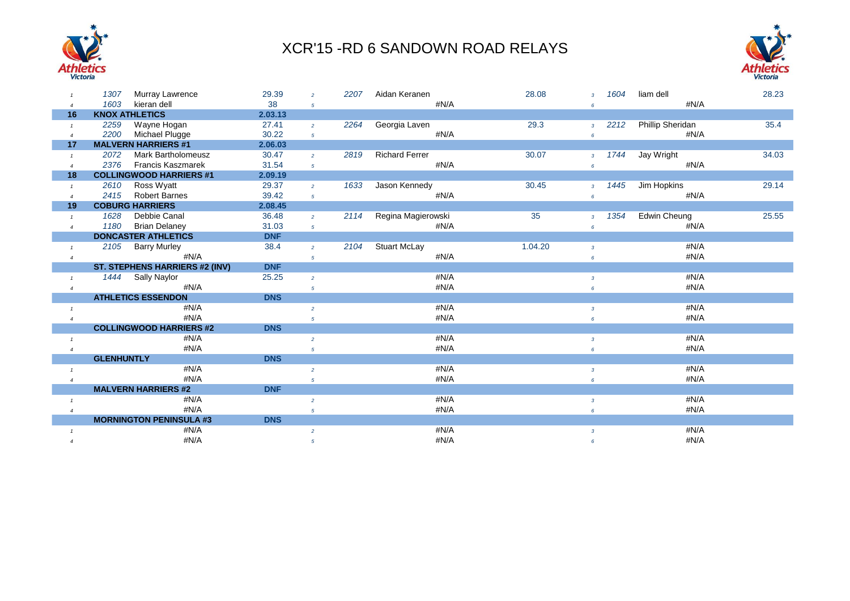



|                | Murray Lawrence<br>1307            | 29.39      | $\overline{2}$ | 2207 | Aidan Keranen         | 28.08   | $\mathcal{R}$  | 1604 | liam dell           | 28.23 |
|----------------|------------------------------------|------------|----------------|------|-----------------------|---------|----------------|------|---------------------|-------|
| $\overline{4}$ | 1603<br>kieran dell                | 38         | 5              |      | #N/A                  |         | 6              |      | #N/A                |       |
| 16             | <b>KNOX ATHLETICS</b>              | 2.03.13    |                |      |                       |         |                |      |                     |       |
| $\mathbf{1}$   | 2259<br>Wayne Hogan                | 27.41      | $\overline{2}$ | 2264 | Georgia Laven         | 29.3    | $\overline{3}$ | 2212 | Phillip Sheridan    | 35.4  |
| $\overline{4}$ | 2200<br>Michael Plugge             | 30.22      | $\sqrt{5}$     |      | #N/A                  |         | 6              |      | #N/A                |       |
| 17             | <b>MALVERN HARRIERS #1</b>         | 2.06.03    |                |      |                       |         |                |      |                     |       |
| $\mathbf{1}$   | 2072<br>Mark Bartholomeusz         | 30.47      | $\overline{2}$ | 2819 | <b>Richard Ferrer</b> | 30.07   | $\overline{3}$ | 1744 | Jay Wright          | 34.03 |
| $\overline{4}$ | 2376<br><b>Francis Kaszmarek</b>   | 31.54      | $5^{\circ}$    |      | #N/A                  |         | 6              |      | #N/A                |       |
| 18             | <b>COLLINGWOOD HARRIERS #1</b>     | 2.09.19    |                |      |                       |         |                |      |                     |       |
| $\mathbf{1}$   | 2610<br>Ross Wyatt                 | 29.37      | $\overline{2}$ | 1633 | Jason Kennedy         | 30.45   | $\overline{z}$ | 1445 | Jim Hopkins         | 29.14 |
| $\overline{4}$ | 2415<br><b>Robert Barnes</b>       | 39.42      | $5^{\circ}$    |      | #N/A                  |         | 6              |      | #N/A                |       |
| 19             | <b>COBURG HARRIERS</b>             | 2.08.45    |                |      |                       |         |                |      |                     |       |
| $\mathbf{1}$   | 1628<br>Debbie Canal               | 36.48      | $\overline{2}$ | 2114 | Regina Magierowski    | 35      | $\mathcal{R}$  | 1354 | <b>Edwin Cheung</b> | 25.55 |
| $\overline{4}$ | 1180<br><b>Brian Delaney</b>       | 31.03      | $\sqrt{5}$     |      | #N/A                  |         | 6              |      | #N/A                |       |
|                | <b>DONCASTER ATHLETICS</b>         | <b>DNF</b> |                |      |                       |         |                |      |                     |       |
| $\mathbf{1}$   | <b>Barry Murley</b><br>2105        | 38.4       | $\overline{2}$ | 2104 | <b>Stuart McLay</b>   | 1.04.20 | $\overline{3}$ |      | #N/A                |       |
| $\overline{4}$ | #N/A                               |            | $5^{\circ}$    |      | #N/A                  |         | 6              |      | #N/A                |       |
|                | ST. STEPHENS HARRIERS #2 (INV)     | <b>DNF</b> |                |      |                       |         |                |      |                     |       |
| $\mathbf{1}$   | Sally Naylor<br>1444               | 25.25      | $\overline{2}$ |      | #N/A                  |         | $\overline{3}$ |      | #N/A                |       |
| $\overline{4}$ | #N/A                               |            | $\sqrt{5}$     |      | #N/A                  |         | 6              |      | #N/A                |       |
|                | <b>ATHLETICS ESSENDON</b>          | <b>DNS</b> |                |      |                       |         |                |      |                     |       |
| $\mathbf{1}$   | #N/A                               |            | $\overline{2}$ |      | #N/A                  |         | $\overline{3}$ |      | #N/A                |       |
| $\overline{4}$ | #N/A                               |            | 5              |      | #N/A                  |         | $\epsilon$     |      | #N/A                |       |
|                | <b>COLLINGWOOD HARRIERS #2</b>     | <b>DNS</b> |                |      |                       |         |                |      |                     |       |
|                | #N/A                               |            | $\overline{2}$ |      | #N/A                  |         | $\overline{3}$ |      | #N/A                |       |
|                | #N/A                               |            | 5              |      | #N/A                  |         |                |      | #N/A                |       |
|                | <b>GLENHUNTLY</b>                  | <b>DNS</b> |                |      |                       |         |                |      |                     |       |
|                | #N/A<br>#N/A                       |            | $\overline{2}$ |      | #N/A<br>#N/A          |         | $\overline{3}$ |      | #N/A<br>#N/A        |       |
| $\overline{4}$ |                                    | <b>DNF</b> | 5              |      |                       |         |                |      |                     |       |
|                | <b>MALVERN HARRIERS #2</b><br>#N/A |            |                |      | #N/A                  |         |                |      |                     |       |
| $\mathbf{1}$   | #N/A                               |            | $\overline{2}$ |      |                       |         | $\overline{3}$ |      | #N/A                |       |
|                |                                    |            | $\sqrt{5}$     |      | #N/A                  |         |                |      | #N/A                |       |
|                | <b>MORNINGTON PENINSULA #3</b>     | <b>DNS</b> |                |      |                       |         |                |      |                     |       |
|                | #N/A                               |            | $\overline{2}$ |      | #N/A                  |         | $\overline{3}$ |      | #N/A                |       |
| $\overline{4}$ | #N/A                               |            | 5              |      | #N/A                  |         | 6              |      | #N/A                |       |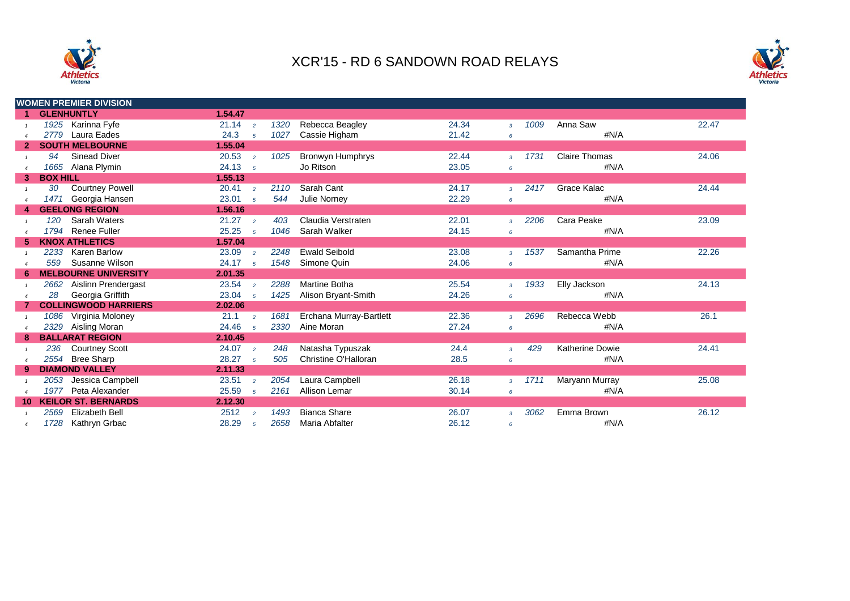



|    | <b>WOMEN PREMIER DIVISION</b> |                         |      |                         |       |                |      |                        |       |
|----|-------------------------------|-------------------------|------|-------------------------|-------|----------------|------|------------------------|-------|
|    | <b>GLENHUNTLY</b>             | 1.54.47                 |      |                         |       |                |      |                        |       |
|    | 1925<br>Karinna Fyfe          | 21.14<br>$\overline{2}$ | 1320 | Rebecca Beagley         | 24.34 | $\overline{3}$ | 1009 | Anna Saw               | 22.47 |
|    | Laura Eades<br>2779           | 24.3<br>$\overline{5}$  | 1027 | Cassie Higham           | 21.42 | 6              |      | #N/A                   |       |
|    | <b>SOUTH MELBOURNE</b>        | 1.55.04                 |      |                         |       |                |      |                        |       |
|    | <b>Sinead Diver</b><br>94     | 20.53<br>$\overline{2}$ | 1025 | Bronwyn Humphrys        | 22.44 | $\overline{3}$ | 1731 | <b>Claire Thomas</b>   | 24.06 |
|    | 1665 Alana Plymin             | 24.13<br>$5^{\circ}$    |      | Jo Ritson               | 23.05 | 6              |      | #N/A                   |       |
| 3. | <b>BOX HILL</b>               | 1.55.13                 |      |                         |       |                |      |                        |       |
|    | <b>Courtney Powell</b><br>30  | 20.41<br>$\overline{2}$ | 2110 | Sarah Cant              | 24.17 | $\overline{3}$ | 2417 | Grace Kalac            | 24.44 |
|    | Georgia Hansen<br>1471        | 23.01<br>$5^{\circ}$    | 544  | <b>Julie Norney</b>     | 22.29 | 6              |      | #N/A                   |       |
| 4  | <b>GEELONG REGION</b>         | 1.56.16                 |      |                         |       |                |      |                        |       |
|    | Sarah Waters<br>120           | 21.27<br>$\overline{2}$ | 403  | Claudia Verstraten      | 22.01 | $\mathbf{3}$   | 2206 | Cara Peake             | 23.09 |
|    | 1794 Renee Fuller             | 25.25<br>$\overline{5}$ | 1046 | Sarah Walker            | 24.15 | 6              |      | #N/A                   |       |
| 5. | <b>KNOX ATHLETICS</b>         | 1.57.04                 |      |                         |       |                |      |                        |       |
|    | 2233<br><b>Karen Barlow</b>   | 23.09<br>$\overline{2}$ | 2248 | <b>Ewald Seibold</b>    | 23.08 | $\overline{3}$ | 1537 | Samantha Prime         | 22.26 |
|    | Susanne Wilson<br>559         | 24.17<br>5              | 1548 | Simone Quin             | 24.06 | 6              |      | #N/A                   |       |
| 6. | <b>MELBOURNE UNIVERSITY</b>   | 2.01.35                 |      |                         |       |                |      |                        |       |
|    | 2662<br>Aislinn Prendergast   | 23.54<br>$\overline{2}$ | 2288 | <b>Martine Botha</b>    | 25.54 | $\mathbf{3}$   | 1933 | Elly Jackson           | 24.13 |
|    | 28<br>Georgia Griffith        | 23.04<br>$5^{\circ}$    | 1425 | Alison Bryant-Smith     | 24.26 | 6              |      | #N/A                   |       |
|    | <b>COLLINGWOOD HARRIERS</b>   | 2.02.06                 |      |                         |       |                |      |                        |       |
|    | Virginia Moloney<br>1086      | 21.1<br>$\overline{2}$  | 1681 | Erchana Murray-Bartlett | 22.36 | $\overline{3}$ | 2696 | Rebecca Webb           | 26.1  |
|    | 2329<br>Aisling Moran         | 24.46<br>$\overline{5}$ | 2330 | Aine Moran              | 27.24 | 6              |      | #N/A                   |       |
| 8. | <b>BALLARAT REGION</b>        | 2.10.45                 |      |                         |       |                |      |                        |       |
|    | 236<br><b>Courtney Scott</b>  | 24.07<br>$\overline{2}$ | 248  | Natasha Typuszak        | 24.4  | $\overline{3}$ | 429  | <b>Katherine Dowie</b> | 24.41 |
|    | 2554 Bree Sharp               | 28.27<br>$\overline{5}$ | 505  | Christine O'Halloran    | 28.5  | 6              |      | #N/A                   |       |
| 9  | <b>DIAMOND VALLEY</b>         | 2.11.33                 |      |                         |       |                |      |                        |       |
|    | 2053<br>Jessica Campbell      | 23.51<br>$\overline{2}$ | 2054 | Laura Campbell          | 26.18 | $\mathbf{3}$   | 1711 | Maryann Murray         | 25.08 |
|    | Peta Alexander<br>1977        | 25.59<br>$\overline{5}$ | 2161 | Allison Lemar           | 30.14 | 6              |      | #N/A                   |       |
| 10 | <b>KEILOR ST. BERNARDS</b>    | 2.12.30                 |      |                         |       |                |      |                        |       |
|    | Elizabeth Bell<br>2569        | 2512<br>$\overline{2}$  | 1493 | <b>Bianca Share</b>     | 26.07 | $\overline{3}$ | 3062 | Emma Brown             | 26.12 |
|    | 1728<br>Kathryn Grbac         | 28.29<br>$\sqrt{5}$     | 2658 | Maria Abfalter          | 26.12 | 6              |      | #N/A                   |       |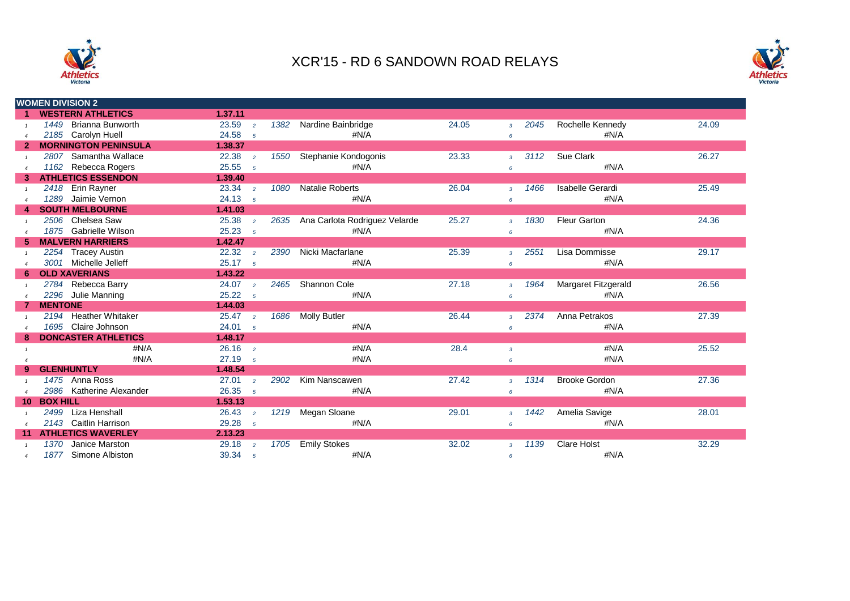



|                | <b>WOMEN DIVISION 2</b>         |         |                 |      |                               |       |                |      |                      |       |
|----------------|---------------------------------|---------|-----------------|------|-------------------------------|-------|----------------|------|----------------------|-------|
|                | <b>WESTERN ATHLETICS</b>        | 1.37.11 |                 |      |                               |       |                |      |                      |       |
|                | 1449 Brianna Bunworth           | 23.59   | $\overline{2}$  | 1382 | Nardine Bainbridge            | 24.05 | $\overline{3}$ | 2045 | Rochelle Kennedy     | 24.09 |
|                | 2185 Carolyn Huell              | 24.58   | $5\overline{5}$ |      | #N/A                          |       | 6              |      | $\sharp N/A$         |       |
|                | <b>MORNINGTON PENINSULA</b>     | 1.38.37 |                 |      |                               |       |                |      |                      |       |
| $\mathbf{1}$   | 2807 Samantha Wallace           | 22.38   | $\overline{2}$  | 1550 | Stephanie Kondogonis          | 23.33 | $\overline{3}$ | 3112 | Sue Clark            | 26.27 |
| $\overline{4}$ | 1162 Rebecca Rogers             | 25.55   | 5               |      | #N/A                          |       | 6              |      | #N/A                 |       |
| 3              | <b>ATHLETICS ESSENDON</b>       | 1.39.40 |                 |      |                               |       |                |      |                      |       |
|                | 2418 Erin Rayner                | 23.34   | $\overline{2}$  | 1080 | <b>Natalie Roberts</b>        | 26.04 | $\overline{3}$ | 1466 | Isabelle Gerardi     | 25.49 |
|                | 1289<br>Jaimie Vernon           | 24.13   | 5               |      | #N/A                          |       | 6              |      | #N/A                 |       |
|                | <b>SOUTH MELBOURNE</b>          | 1.41.03 |                 |      |                               |       |                |      |                      |       |
|                | Chelsea Saw<br>2506             | 25.38   | $\overline{2}$  | 2635 | Ana Carlota Rodriguez Velarde | 25.27 | $\overline{3}$ | 1830 | <b>Fleur Garton</b>  | 24.36 |
|                | 1875<br><b>Gabrielle Wilson</b> | 25.23   | $5\overline{5}$ |      | #N/A                          |       | 6              |      | #N/A                 |       |
| 5.             | <b>MALVERN HARRIERS</b>         | 1.42.47 |                 |      |                               |       |                |      |                      |       |
|                | 2254 Tracey Austin              | 22.32   | $\overline{2}$  | 2390 | Nicki Macfarlane              | 25.39 | 3              | 2551 | Lisa Dommisse        | 29.17 |
|                | 3001<br>Michelle Jelleff        | 25.17   | $\overline{5}$  |      | #N/A                          |       | 6              |      | #N/A                 |       |
| 6              | <b>OLD XAVERIANS</b>            | 1.43.22 |                 |      |                               |       |                |      |                      |       |
|                | 2784 Rebecca Barry              | 24.07   | $\overline{2}$  | 2465 | Shannon Cole                  | 27.18 | 3              | 1964 | Margaret Fitzgerald  | 26.56 |
| $\overline{4}$ | 2296 Julie Manning              | 25.22   | 5               |      | #N/A                          |       | 6              |      | #N/A                 |       |
|                | <b>MENTONE</b>                  | 1.44.03 |                 |      |                               |       |                |      |                      |       |
|                | 2194 Heather Whitaker           | 25.47   | $\overline{2}$  | 1686 | <b>Molly Butler</b>           | 26.44 | 3              | 2374 | Anna Petrakos        | 27.39 |
|                | 1695 Claire Johnson             | 24.01   | $\overline{5}$  |      | #N/A                          |       | 6              |      | #N/A                 |       |
| 8              | <b>DONCASTER ATHLETICS</b>      | 1.48.17 |                 |      |                               |       |                |      |                      |       |
|                | #N/A                            | 26.16   | $\overline{2}$  |      | #N/A                          | 28.4  | $\mathbf{3}$   |      | #N/A                 | 25.52 |
|                | #N/A                            | 27.19   | 5               |      | #N/A                          |       | 6              |      | #N/A                 |       |
| 9              | <b>GLENHUNTLY</b>               | 1.48.54 |                 |      |                               |       |                |      |                      |       |
|                | 1475 Anna Ross                  | 27.01   | $\overline{2}$  | 2902 | Kim Nanscawen                 | 27.42 | 3              | 1314 | <b>Brooke Gordon</b> | 27.36 |
| $\overline{4}$ | 2986<br>Katherine Alexander     | 26.35   | 5               |      | #N/A                          |       | 6              |      | #N/A                 |       |
| 10             | <b>BOX HILL</b>                 | 1.53.13 |                 |      |                               |       |                |      |                      |       |
|                | Liza Henshall<br>2499           | 26.43   | $\overline{2}$  | 1219 | Megan Sloane                  | 29.01 | $\overline{3}$ | 1442 | Amelia Savige        | 28.01 |
| $\overline{A}$ | 2143<br><b>Caitlin Harrison</b> | 29.28   | 5               |      | #N/A                          |       | 6              |      | #N/A                 |       |
| 11             | <b>ATHLETICS WAVERLEY</b>       | 2.13.23 |                 |      |                               |       |                |      |                      |       |
|                | Janice Marston<br>1370          | 29.18   | $\overline{2}$  | 1705 | <b>Emily Stokes</b>           | 32.02 | 3              | 1139 | <b>Clare Holst</b>   | 32.29 |
|                | Simone Albiston<br>1877         | 39.34   | 5               |      | #N/A                          |       | 6              |      | #N/A                 |       |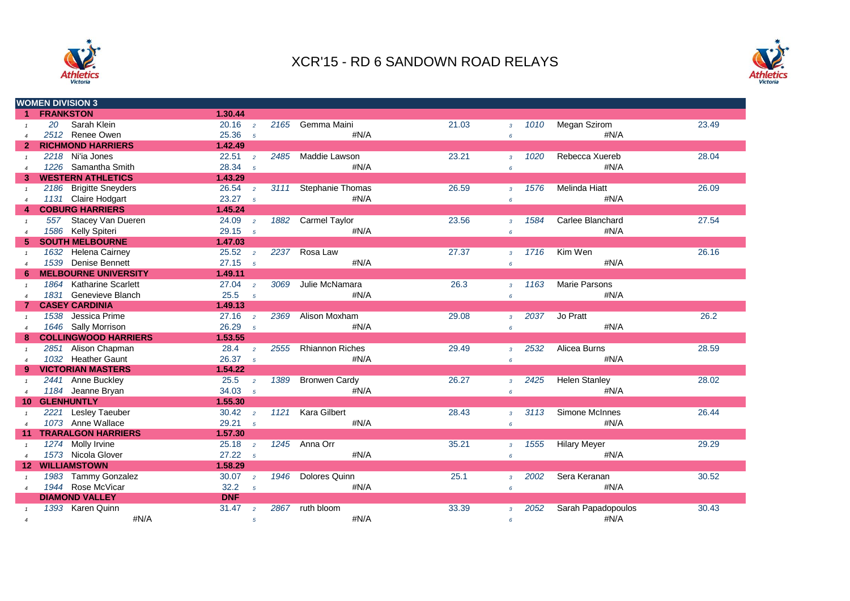



|                        |                  | <b>WOMEN DIVISION 3</b>     |            |                 |      |                        |       |                 |      |                      |       |
|------------------------|------------------|-----------------------------|------------|-----------------|------|------------------------|-------|-----------------|------|----------------------|-------|
| 1.                     | <b>FRANKSTON</b> |                             | 1.30.44    |                 |      |                        |       |                 |      |                      |       |
|                        | 20               | Sarah Klein                 | 20.16      | $\overline{2}$  | 2165 | Gemma Maini            | 21.03 | $\overline{3}$  | 1010 | Megan Szirom         | 23.49 |
|                        |                  | 2512 Renee Owen             | 25.36      | $\overline{5}$  |      | #N/A                   |       | 6               |      | #N/A                 |       |
| $\mathbf{2}$           |                  | <b>RICHMOND HARRIERS</b>    | 1.42.49    |                 |      |                        |       |                 |      |                      |       |
| $\mathbf{1}$           |                  | 2218 Ni'ia Jones            | 22.51      | $\overline{2}$  | 2485 | Maddie Lawson          | 23.21 | $\overline{3}$  | 1020 | Rebecca Xuereb       | 28.04 |
|                        |                  | 1226 Samantha Smith         | 28.34      | $5\overline{5}$ |      | #N/A                   |       | 6               |      | #N/A                 |       |
| 3 <sup>1</sup>         |                  | <b>WESTERN ATHLETICS</b>    | 1.43.29    |                 |      |                        |       |                 |      |                      |       |
| $\mathbf{1}$           |                  | 2186 Brigitte Sneyders      | 26.54      | $\overline{2}$  | 3111 | Stephanie Thomas       | 26.59 | $\overline{3}$  | 1576 | <b>Melinda Hiatt</b> | 26.09 |
| $\overline{4}$         |                  | 1131 Claire Hodgart         | 23.27      | $5\overline{5}$ |      | #N/A                   |       | $6\overline{6}$ |      | #N/A                 |       |
|                        |                  | <b>COBURG HARRIERS</b>      | 1.45.24    |                 |      |                        |       |                 |      |                      |       |
|                        |                  | 557 Stacey Van Dueren       | 24.09      | $\overline{2}$  | 1882 | <b>Carmel Taylor</b>   | 23.56 | $\overline{3}$  | 1584 | Carlee Blanchard     | 27.54 |
| $\overline{4}$         |                  | 1586 Kelly Spiteri          | 29.15      | $\overline{5}$  |      | #N/A                   |       | 6               |      | #N/A                 |       |
| 5.                     |                  | <b>SOUTH MELBOURNE</b>      | 1.47.03    |                 |      |                        |       |                 |      |                      |       |
|                        |                  | 1632 Helena Cairney         | 25.52      | $\overline{2}$  | 2237 | Rosa Law               | 27.37 | $\overline{3}$  | 1716 | Kim Wen              | 26.16 |
| $\boldsymbol{\Lambda}$ |                  | 1539 Denise Bennett         | 27.15      | 5               |      | #N/A                   |       | 6               |      | #N/A                 |       |
| 6                      |                  | <b>MELBOURNE UNIVERSITY</b> | 1.49.11    |                 |      |                        |       |                 |      |                      |       |
|                        |                  | 1864 Katharine Scarlett     | 27.04      | $\overline{2}$  | 3069 | Julie McNamara         | 26.3  | $\mathbf{3}$    | 1163 | <b>Marie Parsons</b> |       |
| $\overline{A}$         |                  | 1831 Genevieve Blanch       | 25.5       | $\overline{5}$  |      | #N/A                   |       | 6               |      | #N/A                 |       |
|                        |                  | <b>CASEY CARDINIA</b>       | 1.49.13    |                 |      |                        |       |                 |      |                      |       |
| $\mathbf{1}$           |                  | 1538 Jessica Prime          | 27.16      | $\overline{2}$  | 2369 | Alison Moxham          | 29.08 | $\overline{3}$  | 2037 | Jo Pratt             | 26.2  |
|                        |                  | 1646 Sally Morrison         | 26.29      | $5\overline{5}$ |      | #N/A                   |       | $6\overline{6}$ |      | #N/A                 |       |
| 8                      |                  | <b>COLLINGWOOD HARRIERS</b> | 1.53.55    |                 |      |                        |       |                 |      |                      |       |
| $\mathbf{1}$           |                  | 2851 Alison Chapman         | 28.4       | $\overline{2}$  | 2555 | <b>Rhiannon Riches</b> | 29.49 | $\mathbf{3}$    | 2532 | Alicea Burns         | 28.59 |
| $\boldsymbol{\Lambda}$ |                  | 1032 Heather Gaunt          | 26.37      | $5\overline{5}$ |      | #N/A                   |       | $6\overline{6}$ |      | #N/A                 |       |
| 9                      |                  | <b>VICTORIAN MASTERS</b>    | 1.54.22    |                 |      |                        |       |                 |      |                      |       |
|                        | 2441             | Anne Buckley                | 25.5       | $\overline{2}$  | 1389 | <b>Bronwen Cardy</b>   | 26.27 | $\overline{3}$  | 2425 | <b>Helen Stanley</b> | 28.02 |
| $\overline{A}$         |                  | 1184 Jeanne Bryan           | 34.03      | $\overline{5}$  |      | #N/A                   |       | $6\overline{6}$ |      | #N/A                 |       |
| 10                     |                  | <b>GLENHUNTLY</b>           | 1.55.30    |                 |      |                        |       |                 |      |                      |       |
|                        |                  | 2221 Lesley Taeuber         | 30.42      | $\overline{2}$  | 1121 | <b>Kara Gilbert</b>    | 28.43 | $\overline{3}$  | 3113 | Simone McInnes       | 26.44 |
|                        |                  | 1073 Anne Wallace           | 29.21      | $5\overline{5}$ |      | #N/A                   |       | 6               |      | #N/A                 |       |
| 11                     |                  | <b>TRARALGON HARRIERS</b>   | 1.57.30    |                 |      |                        |       |                 |      |                      |       |
|                        |                  | 1274 Molly Irvine           | 25.18      | $\overline{2}$  | 1245 | Anna Orr               | 35.21 | $\mathbf{3}$    | 1555 | <b>Hilary Meyer</b>  | 29.29 |
| $\overline{4}$         |                  | 1573 Nicola Glover          | 27.22      | 5               |      | #N/A                   |       | $6\overline{6}$ |      | #N/A                 |       |
| 12                     |                  | <b>WILLIAMSTOWN</b>         | 1.58.29    |                 |      |                        |       |                 |      |                      |       |
|                        |                  | 1983 Tammy Gonzalez         | 30.07      | $\overline{2}$  | 1946 | <b>Dolores Quinn</b>   | 25.1  | $\overline{3}$  | 2002 | Sera Keranan         | 30.52 |
| $\overline{a}$         |                  | 1944 Rose McVicar           | 32.2       | $\overline{5}$  |      | #N/A                   |       | $6\overline{6}$ |      | #N/A                 |       |
|                        |                  | <b>DIAMOND VALLEY</b>       | <b>DNF</b> |                 |      |                        |       |                 |      |                      |       |
|                        |                  | 1393 Karen Quinn            | 31.47      | $\overline{2}$  | 2867 | ruth bloom             | 33.39 | $\overline{3}$  | 2052 | Sarah Papadopoulos   | 30.43 |
| $\overline{4}$         |                  | #N/A                        |            | 5               |      | #N/A                   |       | 6               |      | #N/A                 |       |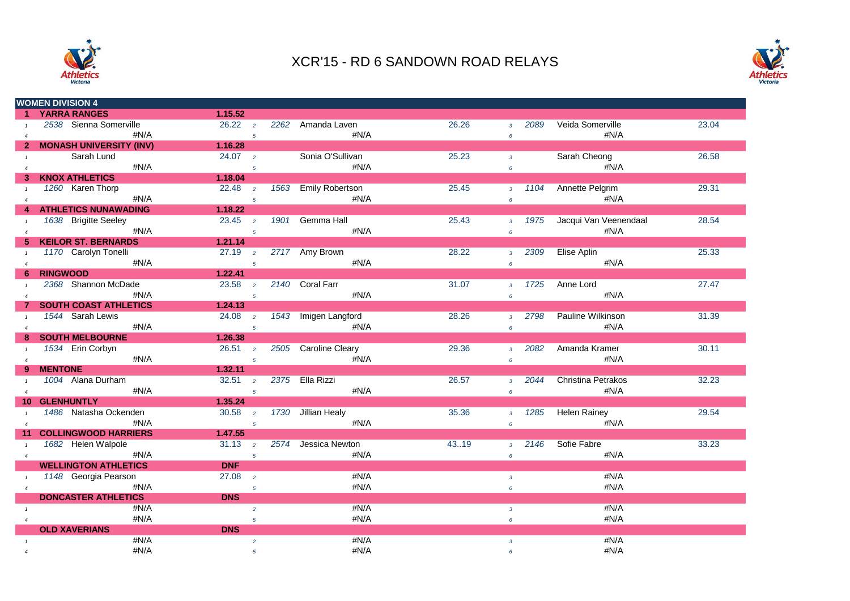



|                  | <b>WOMEN DIVISION 4</b>        |                                   |      |                      |       |                         |      |                           |       |
|------------------|--------------------------------|-----------------------------------|------|----------------------|-------|-------------------------|------|---------------------------|-------|
|                  | <b>YARRA RANGES</b>            | 1.15.52                           |      |                      |       |                         |      |                           |       |
|                  | 2538 Sienna Somerville         | $26.22 \t2$                       | 2262 | Amanda Laven         | 26.26 | $\overline{\mathbf{3}}$ | 2089 | Veida Somerville          | 23.04 |
| $\overline{4}$   | #N/A                           | $\overline{5}$                    |      | #N/A                 |       | 6                       |      | #N/A                      |       |
|                  | <b>MONASH UNIVERSITY (INV)</b> | 1.16.28                           |      |                      |       |                         |      |                           |       |
|                  | Sarah Lund                     | 24.07 <sub>2</sub>                |      | Sonia O'Sullivan     | 25.23 | $\overline{3}$          |      | Sarah Cheong              | 26.58 |
| $\overline{A}$   | #N/A                           | $5\overline{5}$                   |      | #N/A                 |       | 6 <sup>1</sup>          |      | #N/A                      |       |
| 3                | <b>KNOX ATHLETICS</b>          | 1.18.04                           |      |                      |       |                         |      |                           |       |
|                  | 1260 Karen Thorp               | $\overline{22.48}$ $\overline{2}$ |      | 1563 Emily Robertson | 25.45 | $\overline{3}$          | 1104 | Annette Pelgrim           | 29.31 |
| $\overline{4}$   | $\sharp N/A$                   | $5^{\circ}$                       |      | $\#N/A$              |       | $6^{\circ}$             |      | #N/A                      |       |
|                  | <b>ATHLETICS NUNAWADING</b>    | 1.18.22                           |      |                      |       |                         |      |                           |       |
| $\mathbf{1}$     | 1638 Brigitte Seeley           | $23.45$ $2$                       |      | 1901 Gemma Hall      | 25.43 | $\overline{3}$          | 1975 | Jacqui Van Veenendaal     | 28.54 |
| $\boldsymbol{A}$ | #N/A                           | $\overline{5}$                    |      | # $N/A$              |       | $6^{\circ}$             |      | #N/A                      |       |
|                  | <b>KEILOR ST. BERNARDS</b>     | 1.21.14                           |      |                      |       |                         |      |                           |       |
| $\mathbf{1}$     | 1170 Carolyn Tonelli           | $27.19$ $2$                       |      | 2717 Amy Brown       | 28.22 | $\overline{3}$          | 2309 | Elise Aplin               | 25.33 |
| $\overline{A}$   | #N/A                           | $\overline{5}$                    |      | #N/A                 |       | $6^{\circ}$             |      | #N/A                      |       |
| 6                | <b>RINGWOOD</b>                | 1.22.41                           |      |                      |       |                         |      |                           |       |
|                  | 2368 Shannon McDade            | $23.58$ 2                         |      | 2140 Coral Farr      | 31.07 | $\mathcal{R}$           | 1725 | Anne Lord                 | 27.47 |
| $\overline{A}$   | # $N/A$                        | $\overline{5}$                    |      | #N/A                 |       | $6^{\circ}$             |      | #N/A                      |       |
|                  | <b>SOUTH COAST ATHLETICS</b>   | 1.24.13                           |      |                      |       |                         |      |                           |       |
|                  | 1544 Sarah Lewis               | $24.08$ $2$                       |      | 1543 Imigen Langford | 28.26 | $\overline{3}$          | 2798 | Pauline Wilkinson         | 31.39 |
|                  | $\#N/A$                        | 5 <sup>5</sup>                    |      | # $N/A$              |       | $6^{\circ}$             |      | #N/A                      |       |
|                  | <b>SOUTH MELBOURNE</b>         | 1.26.38                           |      |                      |       |                         |      |                           |       |
| $\mathbf{1}$     | 1534 Erin Corbyn               | $\overline{26.51}$ 2              |      | 2505 Caroline Cleary | 29.36 | $\overline{3}$          | 2082 | Amanda Kramer             | 30.11 |
| $\overline{4}$   | #N/A                           | $5^{\circ}$                       |      | #N/A                 |       | 6                       |      | #N/A                      |       |
| 9                | <b>MENTONE</b>                 | 1.32.11                           |      |                      |       |                         |      |                           |       |
|                  | 1004 Alana Durham              | 32.51 z                           |      | 2375 Ella Rizzi      | 26.57 | $\overline{3}$          | 2044 | <b>Christina Petrakos</b> | 32.23 |
| $\overline{4}$   | #N/A                           | $5^{\circ}$                       |      | #N/A                 |       | $6\overline{6}$         |      | #N/A                      |       |
| 10               | <b>GLENHUNTLY</b>              | 1.35.24                           |      |                      |       |                         |      |                           |       |
|                  | 1486 Natasha Ockenden          | $30.58$ 2                         |      | 1730 Jillian Healy   | 35.36 | $\overline{3}$          | 1285 | <b>Helen Rainey</b>       | 29.54 |
| $\overline{4}$   | #N/A                           | $5^{\circ}$                       |      | #N/A                 |       | $6\overline{6}$         |      | #N/A                      |       |
| 11.              | <b>COLLINGWOOD HARRIERS</b>    | 1.47.55                           |      |                      |       |                         |      |                           |       |
|                  | 1682 Helen Walpole             | $31.13 \t2$                       | 2574 | Jessica Newton       | 43.19 | $\overline{3}$          | 2146 | Sofie Fabre               | 33.23 |
| $\overline{4}$   | #N/A                           | $\overline{5}$                    |      | #N/A                 |       | $6\overline{6}$         |      | #N/A                      |       |
|                  | <b>WELLINGTON ATHLETICS</b>    | <b>DNF</b>                        |      |                      |       |                         |      |                           |       |
|                  | 1148 Georgia Pearson           | 27.08 <sub>2</sub>                |      | #N/A                 |       | $\overline{3}$          |      | #N/A                      |       |
|                  | #N/A                           | $5\overline{5}$                   |      | #N/A                 |       | $6^{\circ}$             |      | #N/A                      |       |
|                  | <b>DONCASTER ATHLETICS</b>     | <b>DNS</b>                        |      |                      |       |                         |      |                           |       |
| $\mathbf{1}$     | #N/A                           | $\overline{2}$                    |      | #N/A                 |       | $\overline{3}$          |      | #N/A                      |       |
| $\overline{A}$   | #N/A                           | $5\overline{5}$                   |      | #N/A                 |       | $\ddot{\delta}$         |      | #N/A                      |       |
|                  | <b>OLD XAVERIANS</b>           | <b>DNS</b>                        |      |                      |       |                         |      |                           |       |
|                  | #N/A                           | $\overline{2}$                    |      | #N/A                 |       | $\overline{3}$          |      | #N/A                      |       |
| $\overline{A}$   | #N/A                           | $\sqrt{5}$                        |      | #N/A                 |       | $\epsilon$              |      | #N/A                      |       |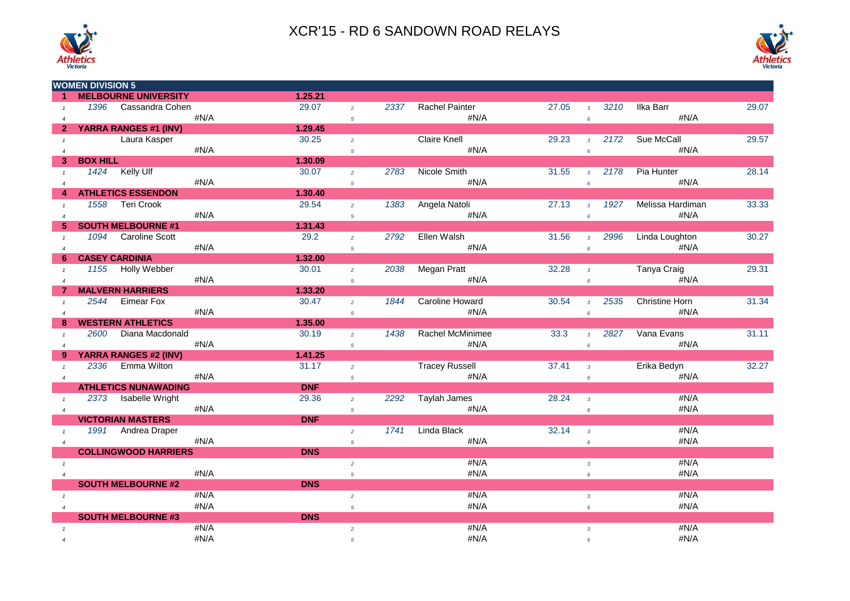



| <b>WOMEN DIVISION 5</b> |                 |                              |      |            |                |      |                       |       |                         |                  |                  |       |
|-------------------------|-----------------|------------------------------|------|------------|----------------|------|-----------------------|-------|-------------------------|------------------|------------------|-------|
| -1                      |                 | <b>MELBOURNE UNIVERSITY</b>  |      | 1.25.21    |                |      |                       |       |                         |                  |                  |       |
|                         |                 | 1396 Cassandra Cohen         |      | 29.07      | $\overline{2}$ | 2337 | Rachel Painter        | 27.05 | $\mathbf{3}$            | $\frac{3210}{ }$ | <b>Ilka Barr</b> | 29.07 |
| $\overline{4}$          |                 |                              | #N/A |            | $\overline{5}$ |      | #N/A                  |       | $6\overline{6}$         |                  | $\sharp N/A$     |       |
|                         |                 | <b>YARRA RANGES #1 (INV)</b> |      | 1.29.45    |                |      |                       |       |                         |                  |                  |       |
| $\mathbf{1}$            |                 | Laura Kasper                 |      | 30.25      | $\overline{2}$ |      | Claire Knell          | 29.23 | $\mathbf{R}$            | 2172             | Sue McCall       | 29.57 |
| $\overline{A}$          |                 |                              | #N/A |            | 5 <sup>5</sup> |      | #N/A                  |       | 6                       |                  | #N/A             |       |
|                         | <b>BOX HILL</b> |                              |      | 1.30.09    |                |      |                       |       |                         |                  |                  |       |
| $\mathbf{1}$            |                 | 1424 Kelly Ulf               |      | 30.07      | $\overline{2}$ | 2783 | Nicole Smith          | 31.55 | $\mathbf{3}$            | 2178             | Pia Hunter       | 28.14 |
| $\overline{4}$          |                 |                              | #N/A |            | $5^{\circ}$    |      | #N/A                  |       | $6\overline{6}$         |                  | #N/A             |       |
|                         |                 | <b>ATHLETICS ESSENDON</b>    |      | 1.30.40    |                |      |                       |       |                         |                  |                  |       |
| $\mathbf{1}$            |                 | 1558 Teri Crook              |      | 29.54      | $\overline{2}$ | 1383 | Angela Natoli         | 27.13 | $\overline{\mathbf{3}}$ | 1927             | Melissa Hardiman | 33.33 |
| $\boldsymbol{\Delta}$   |                 |                              | #N/A |            | $\overline{5}$ |      | #N/A                  |       | $6\overline{6}$         |                  | #N/A             |       |
| 5                       |                 | <b>SOUTH MELBOURNE #1</b>    |      | 1.31.43    |                |      |                       |       |                         |                  |                  |       |
|                         |                 | 1094 Caroline Scott          |      | 29.2       | $\overline{2}$ | 2792 | Ellen Walsh           | 31.56 | $3^{\circ}$             | 2996             | Linda Loughton   | 30.27 |
| $\overline{4}$          |                 |                              | #N/A |            | 5 <sup>5</sup> |      | #N/A                  |       | $6\overline{6}$         |                  | #N/A             |       |
| 6                       |                 | <b>CASEY CARDINIA</b>        |      | 1.32.00    |                |      |                       |       |                         |                  |                  |       |
|                         |                 | 1155 Holly Webber            |      | 30.01      | $\overline{2}$ | 2038 | <b>Megan Pratt</b>    | 32.28 | $\overline{3}$          |                  | Tanya Craig      | 29.31 |
| $\overline{4}$          |                 |                              | #N/A |            | $\mathfrak{s}$ |      | #N/A                  |       | $6\overline{6}$         |                  | #N/A             |       |
|                         |                 | <b>MALVERN HARRIERS</b>      |      | 1.33.20    |                |      |                       |       |                         |                  |                  |       |
|                         |                 | 2544 Eimear Fox              |      | 30.47      | $\overline{2}$ | 1844 | Caroline Howard       | 30.54 | $\overline{3}$          | 2535             | Christine Horn   | 31.34 |
| $\boldsymbol{\Lambda}$  |                 |                              | #N/A |            | $5^{\circ}$    |      | #N/A                  |       | $6\overline{6}$         |                  | # $N/A$          |       |
| 8                       |                 | <b>WESTERN ATHLETICS</b>     |      | 1.35.00    |                |      |                       |       |                         |                  |                  |       |
| $\mathbf{1}$            | 2600            | Diana Macdonald              |      | 30.19      | 2 <sup>7</sup> | 1438 | Rachel McMinimee      | 33.3  | $\mathbf{3}$            | 2827             | Vana Evans       | 31.11 |
| $\overline{4}$          |                 |                              | #N/A |            | 5 <sup>5</sup> |      | #N/A                  |       | 6                       |                  | #N/A             |       |
| 9                       |                 | <b>YARRA RANGES #2 (INV)</b> |      | 1.41.25    |                |      |                       |       |                         |                  |                  |       |
| $\mathbf{1}$            | 2336            | Emma Wilton                  |      | 31.17      | $\overline{2}$ |      | <b>Tracey Russell</b> | 37.41 | $\overline{3}$          |                  | Erika Bedyn      | 32.27 |
| $\overline{4}$          |                 |                              | #N/A |            | $5^{\circ}$    |      | #N/A                  |       | 6                       |                  | #N/A             |       |
|                         |                 | <b>ATHLETICS NUNAWADING</b>  |      | <b>DNF</b> |                |      |                       |       |                         |                  |                  |       |
| $\overline{1}$          |                 | 2373 Isabelle Wright         |      | 29.36      | $\overline{2}$ | 2292 | <b>Taylah James</b>   | 28.24 | $\overline{3}$          |                  | #N/A             |       |
|                         |                 |                              | #N/A |            | $\overline{5}$ |      | #N/A                  |       | $6\overline{6}$         |                  | #N/A             |       |
|                         |                 | <b>VICTORIAN MASTERS</b>     |      | <b>DNF</b> |                |      |                       |       |                         |                  |                  |       |
| $\mathbf{1}$            | 1991            | Andrea Draper                |      |            | $\overline{2}$ | 1741 | Linda Black           | 32.14 | $\overline{3}$          |                  | #N/A             |       |
| $\overline{4}$          |                 |                              | #N/A |            | $\overline{5}$ |      | #N/A                  |       | $6\overline{6}$         |                  | #N/A             |       |
|                         |                 | <b>COLLINGWOOD HARRIERS</b>  |      | <b>DNS</b> |                |      |                       |       |                         |                  |                  |       |
|                         |                 |                              |      |            | $\overline{2}$ |      | #N/A                  |       | $\overline{3}$          |                  | #N/A             |       |
| $\overline{a}$          |                 |                              | #N/A |            | $\overline{5}$ |      | #N/A                  |       | $6\overline{6}$         |                  | #N/A             |       |
|                         |                 | <b>SOUTH MELBOURNE #2</b>    |      | <b>DNS</b> |                |      |                       |       |                         |                  |                  |       |
| $\mathbf{1}$            |                 |                              | #N/A |            | $\overline{2}$ |      | #N/A                  |       | $\overline{3}$          |                  | #N/A             |       |
| $\boldsymbol{\Lambda}$  |                 |                              | #N/A |            | $\overline{5}$ |      | #N/A                  |       | $6\overline{6}$         |                  | #N/A             |       |
|                         |                 | <b>SOUTH MELBOURNE #3</b>    |      | <b>DNS</b> |                |      |                       |       |                         |                  |                  |       |
|                         |                 |                              | #N/A |            | $\overline{2}$ |      | #N/A                  |       | $\overline{3}$          |                  | #N/A             |       |
| $\overline{A}$          |                 |                              | #N/A |            | $\overline{5}$ |      | #N/A                  |       | 6                       |                  | #N/A             |       |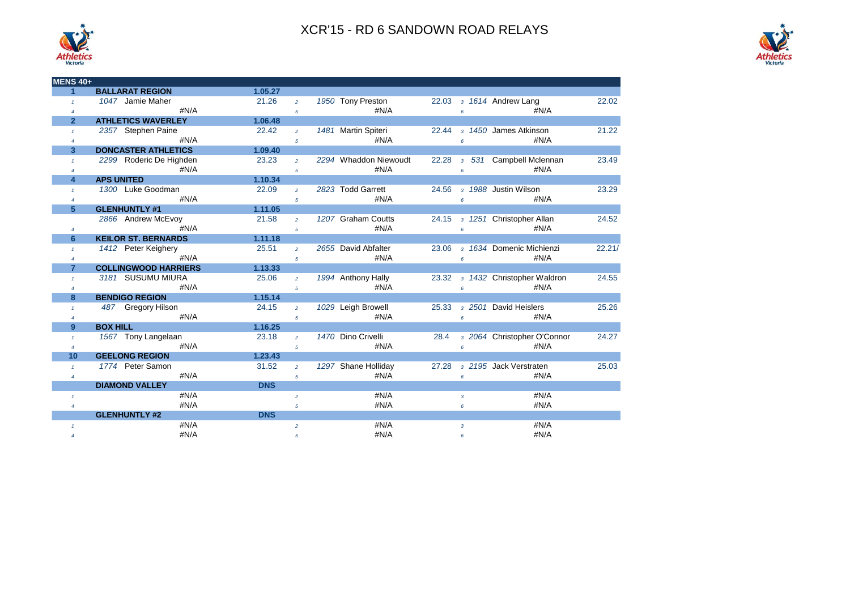



| MENS 40+         |                               |            |                |                       |                |                                  |        |
|------------------|-------------------------------|------------|----------------|-----------------------|----------------|----------------------------------|--------|
|                  | <b>BALLARAT REGION</b>        | 1.05.27    |                |                       |                |                                  |        |
| $\mathbf{f}$     | 1047 Jamie Maher              | 21.26      | 2 <sup>7</sup> | 1950 Tony Preston     | 22.03          | 3 1614 Andrew Lang               | 22.02  |
| 4                | #N/A                          |            | 5 <sup>1</sup> | #N/A                  | 6              | #N/A                             |        |
| $\overline{2}$   | <b>ATHLETICS WAVERLEY</b>     | 1.06.48    |                |                       |                |                                  |        |
| $\mathbf{f}$     | 2357 Stephen Paine            | 22.42      | 2 <sup>7</sup> | 1481 Martin Spiteri   | 22.44          | 3 1450 James Atkinson            | 21.22  |
| 4                | #N/A                          |            | 5 <sup>5</sup> | #N/A                  | 6              | #N/A                             |        |
| 3                | <b>DONCASTER ATHLETICS</b>    | 1.09.40    |                |                       |                |                                  |        |
| $\mathbf{f}$     | 2299 Roderic De Highden       | 23.23      | $\mathcal{P}$  | 2294 Whaddon Niewoudt | 22.28          | 3 531 Campbell Mclennan          | 23.49  |
| 4                | #N/A                          |            | 5              | #N/A                  | 6              | #N/A                             |        |
| 4                | <b>APS UNITED</b>             | 1.10.34    |                |                       |                |                                  |        |
| $\mathbf{f}$     | 1300 Luke Goodman             | 22.09      | $\overline{2}$ | 2823 Todd Garrett     | 24.56          | 3 1988 Justin Wilson             | 23.29  |
| 4                | #N/A                          |            | 5              | $\sharp N/A$          | 6              | #N/A                             |        |
| 5                | <b>GLENHUNTLY #1</b>          | 1.11.05    |                |                       |                |                                  |        |
|                  | 2866 Andrew McEvoy            | 21.58      | 2 <sup>7</sup> | 1207 Graham Coutts    |                | 24.15 3 1251 Christopher Allan   | 24.52  |
| 4                | #N/A                          |            | 5 <sup>1</sup> | #N/A                  | 6              | #N/A                             |        |
| 6                | <b>KEILOR ST. BERNARDS</b>    | 1.11.18    |                |                       |                |                                  |        |
| $\mathbf{1}$     | 1412 Peter Keighery           | 25.51      | 2 <sup>7</sup> | 2655 David Abfalter   | 23.06          | 3 1634 Domenic Michienzi         | 22.21/ |
| $\overline{4}$   | #N/A                          |            | 5              | #N/A                  | 6              | #N/A                             |        |
| $\overline{7}$   | <b>COLLINGWOOD HARRIERS</b>   | 1.13.33    |                |                       |                |                                  |        |
| $\mathbf{f}$     | 3181 SUSUMU MIURA             | 25.06      | $\overline{2}$ | 1994 Anthony Hally    |                | 23.32 3 1432 Christopher Waldron | 24.55  |
| $\overline{4}$   | #N/A                          |            | 5 <sup>5</sup> | #N/A                  | $6^{\circ}$    | #N/A                             |        |
| 8                | <b>BENDIGO REGION</b>         | 1.15.14    |                |                       |                |                                  |        |
| $\mathbf{1}$     | 487 Gregory Hilson            | 24.15      | 2 <sup>7</sup> | 1029 Leigh Browell    | 25.33          | 3 2501 David Heislers            | 25.26  |
| $\overline{4}$   | #N/A                          |            | 5 <sup>1</sup> | #N/A                  | $6^{\circ}$    | #N/A                             |        |
| 9                | <b>BOX HILL</b>               | 1.16.25    |                |                       |                |                                  |        |
| $\mathbf{1}$     | 1567 Tony Langelaan           | 23.18      | $\overline{2}$ | 1470 Dino Crivelli    | 28.4           | 3 2064 Christopher O'Connor      | 24.27  |
| $\overline{4}$   | #N/A                          |            | 5 <sup>1</sup> | #N/A                  | $6^{\circ}$    | #N/A                             |        |
| 10               | <b>GEELONG REGION</b>         | 1.23.43    |                |                       |                |                                  |        |
|                  | 1774 Peter Samon              | 31.52      | $2^{\circ}$    | 1297 Shane Holliday   | 27.28          | 3 2195 Jack Verstraten           | 25.03  |
| $\overline{4}$   | #N/A                          |            | 5              | #N/A                  | 6              | #N/A                             |        |
|                  | <b>DIAMOND VALLEY</b><br>#N/A | <b>DNS</b> |                | #N/A                  |                | #N/A                             |        |
| $\mathbf{1}$     | #N/A                          |            | $\overline{a}$ |                       | $\overline{3}$ |                                  |        |
| $\boldsymbol{A}$ | <b>GLENHUNTLY #2</b>          | <b>DNS</b> | 5              | #N/A                  | 6              | #N/A                             |        |
|                  | #N/A                          |            |                | #N/A                  |                | #N/A                             |        |
| $\mathbf{f}$     | #N/A                          |            | $\overline{2}$ | #N/A                  | $\overline{3}$ | #N/A                             |        |
| $\overline{4}$   |                               |            | 5              |                       | 6              |                                  |        |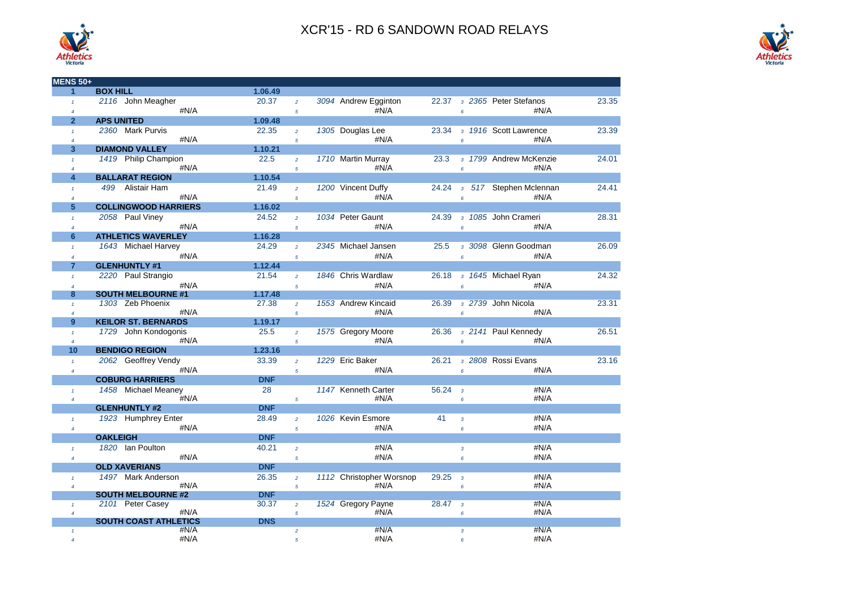



| <b>MENS 50+</b>                |                                               |                  |                              |                            |                    |                 |                        |       |
|--------------------------------|-----------------------------------------------|------------------|------------------------------|----------------------------|--------------------|-----------------|------------------------|-------|
| $\mathbf{1}$                   | <b>BOX HILL</b>                               | 1.06.49          |                              |                            |                    |                 |                        |       |
| $\mathbf{1}$                   | 2116 John Meagher                             | 20.37            | $\overline{2}$               | 3094 Andrew Egginton       | 22.37              |                 | 3 2365 Peter Stefanos  | 23.35 |
| $\overline{4}$                 | #N/A                                          |                  | $\overline{5}$               | #N/A                       |                    | 6               | #N/A                   |       |
| $\overline{2}$                 | <b>APS UNITED</b>                             | 1.09.48          |                              |                            |                    |                 |                        |       |
| $\mathbf{1}$                   | 2360 Mark Purvis                              | 22.35            | $\overline{2}$               | 1305 Douglas Lee           | 23.34              |                 | 3 1916 Scott Lawrence  | 23.39 |
| $\overline{4}$                 | #N/A                                          |                  | 5                            | #N/A                       |                    | $6^{\circ}$     | #N/A                   |       |
| 3                              | <b>DIAMOND VALLEY</b>                         | 1.10.21          |                              |                            |                    |                 |                        |       |
| $\mathbf{f}$                   | 1419 Philip Champion                          | 22.5             | $\overline{2}$               | 1710 Martin Murray         | 23.3               |                 | 3 1799 Andrew McKenzie | 24.01 |
| $\overline{4}$                 | #N/A                                          |                  | $\overline{5}$               | #N/A                       |                    |                 | #N/A                   |       |
| 4                              | <b>BALLARAT REGION</b>                        | 1.10.54          |                              |                            |                    |                 |                        |       |
| $\mathbf{1}$                   | 499 Alistair Ham                              | 21.49            | $\overline{2}$               | 1200 Vincent Duffy         | 24.24              |                 | 3 517 Stephen Mclennan | 24.41 |
| $\overline{a}$                 | #N/A                                          |                  | $\mathbf{5}$                 | #N/A                       |                    | $6^{\circ}$     | #N/A                   |       |
| $\overline{5}$                 | <b>COLLINGWOOD HARRIERS</b>                   | 1.16.02          |                              |                            |                    |                 |                        |       |
| $\mathbf{f}$                   | 2058 Paul Viney                               | 24.52            | $\overline{2}$               | 1034 Peter Gaunt           | 24.39              |                 | 3 1085 John Crameri    | 28.31 |
| $\overline{4}$                 | #N/A                                          |                  | 5                            | #N/A                       |                    | $6\overline{6}$ | #N/A                   |       |
| 6                              | <b>ATHLETICS WAVERLEY</b>                     | 1.16.28          |                              |                            |                    |                 |                        |       |
| $\mathbf{1}$                   | 1643 Michael Harvey                           | 24.29            | $\overline{2}$               | 2345 Michael Jansen        | 25.5               |                 | 3 3098 Glenn Goodman   | 26.09 |
| $\overline{4}$                 | #N/A                                          |                  | $\sqrt{5}$                   | #N/A                       |                    | $6\overline{6}$ | #N/A                   |       |
| $\overline{7}$                 | <b>GLENHUNTLY #1</b>                          | 1.12.44          |                              |                            |                    |                 |                        |       |
| $\mathcal{I}$                  | 2220 Paul Strangio                            | 21.54            | $\mathfrak{p}$               | 1846 Chris Wardlaw         | 26.18              |                 | 3 1645 Michael Ryan    | 24.32 |
| $\overline{4}$                 | #N/A                                          |                  | $5^{\circ}$                  | #N/A                       |                    | 6 <sup>1</sup>  | #N/A                   |       |
| 8                              | <b>SOUTH MELBOURNE #1</b><br>1303 Zeb Phoenix | 1.17.48<br>27.38 |                              | 1553 Andrew Kincaid        | 26.39              |                 | 3 2739 John Nicola     | 23.31 |
| $\mathbf{f}$<br>$\overline{4}$ | #N/A                                          |                  | $\overline{2}$<br>$\sqrt{5}$ | #N/A                       |                    | $6\overline{6}$ | #N/A                   |       |
| 9                              | <b>KEILOR ST. BERNARDS</b>                    | 1.19.17          |                              |                            |                    |                 |                        |       |
| $\mathbf{1}$                   | 1729 John Kondogonis                          | 25.5             | $\overline{2}$               | 1575 Gregory Moore         | 26.36              |                 | 3 2141 Paul Kennedy    | 26.51 |
| $\overline{4}$                 | #N/A                                          |                  | $\sqrt{5}$                   | #N/A                       |                    | $6\overline{6}$ | #N/A                   |       |
| 10                             | <b>BENDIGO REGION</b>                         | 1.23.16          |                              |                            |                    |                 |                        |       |
| $\mathbf{f}$                   | 2062 Geoffrey Vendy                           | 33.39            | $\overline{2}$               | 1229 Eric Baker            | 26.21              |                 | 3 2808 Rossi Evans     | 23.16 |
| $\overline{4}$                 | #N/A                                          |                  | $\overline{5}$               | #N/A                       |                    | $6^{\circ}$     | #N/A                   |       |
|                                | <b>COBURG HARRIERS</b>                        | <b>DNF</b>       |                              |                            |                    |                 |                        |       |
| $\mathbf{1}$                   | 1458 Michael Meaney                           | 28               |                              | 1147 Kenneth Carter        | $56.24 \t3$        |                 | #N/A                   |       |
| $\overline{4}$                 | #N/A                                          |                  | $5\overline{5}$              | #N/A                       |                    | $6^{\circ}$     | #N/A                   |       |
|                                | <b>GLENHUNTLY #2</b>                          | <b>DNF</b>       |                              |                            |                    |                 |                        |       |
| $\mathbf{1}$                   | 1923 Humphrey Enter                           | 28.49            | $\overline{2}$               | 1026 Kevin Esmore          | 41                 | $\overline{3}$  | #N/A                   |       |
| $\overline{4}$                 | #N/A                                          |                  | $\sqrt{5}$                   | #N/A                       |                    | 6               | #N/A                   |       |
|                                | <b>OAKLEIGH</b>                               | <b>DNF</b>       |                              |                            |                    |                 |                        |       |
| $\mathbf{f}$                   | 1820 Ian Poulton                              | 40.21            | $\overline{2}$               | #N/A                       |                    | $\overline{3}$  | #N/A                   |       |
| $\overline{a}$                 | #N/A                                          |                  | $\overline{5}$               | #N/A                       |                    | $6^{\circ}$     | #N/A                   |       |
|                                | <b>OLD XAVERIANS</b>                          | <b>DNF</b>       |                              |                            |                    |                 |                        |       |
| $\mathbf{1}$                   | 1497 Mark Anderson                            | 26.35            | $\overline{a}$               | 1112 Christopher Worsnop   | 29.25 <sub>3</sub> |                 | #N/A                   |       |
| $\overline{4}$                 | #N/A                                          |                  | $\sqrt{5}$                   | #N/A                       |                    | $6^{\circ}$     | #N/A                   |       |
|                                | <b>SOUTH MELBOURNE #2</b>                     | <b>DNF</b>       |                              |                            |                    |                 |                        |       |
| $\mathbf{1}$                   | 2101 Peter Casey<br>#N/A                      | 30.37            | $\overline{2}$               | 1524 Gregory Payne<br>#N/A | 28.47              | $\overline{3}$  | #N/A                   |       |
|                                |                                               |                  | $\sqrt{5}$                   |                            |                    | 6               | #N/A                   |       |
| $\overline{4}$                 |                                               |                  |                              |                            |                    |                 |                        |       |
| $\mathbf{1}$                   | <b>SOUTH COAST ATHLETICS</b><br>#N/A          | <b>DNS</b>       | $\overline{a}$               | #N/A                       |                    | $\mathbf{3}$    | #N/A                   |       |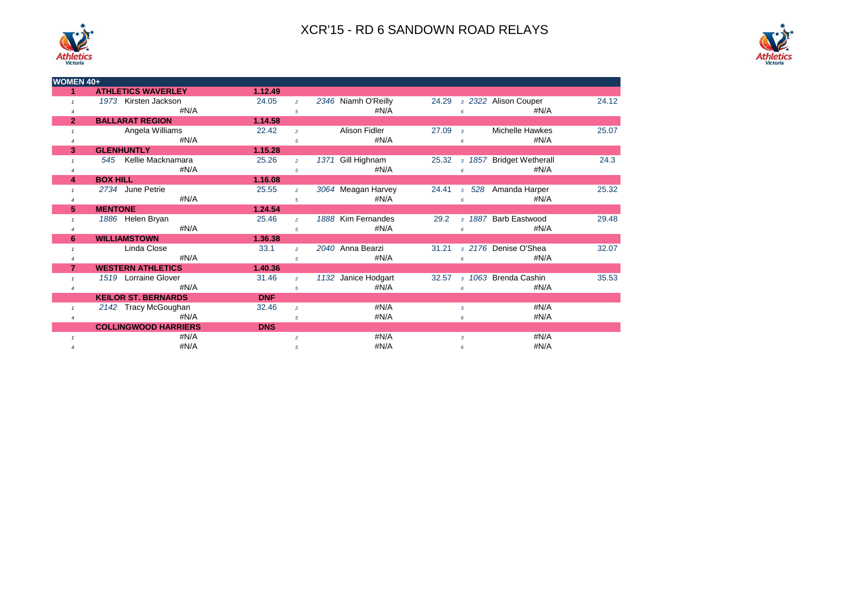



| <b>WOMEN 40+</b> |                             |            |                |                      |                        |                                  |
|------------------|-----------------------------|------------|----------------|----------------------|------------------------|----------------------------------|
|                  | <b>ATHLETICS WAVERLEY</b>   | 1.12.49    |                |                      |                        |                                  |
|                  | 1973 Kirsten Jackson        | 24.05      | $\overline{2}$ | 2346 Niamh O'Reilly  | 24.29                  | 24.12<br>3 2322 Alison Couper    |
|                  | #N/A                        |            | 5              | #N/A                 |                        | #N/A                             |
| $\overline{2}$   | <b>BALLARAT REGION</b>      | 1.14.58    |                |                      |                        |                                  |
|                  | Angela Williams             | 22.42      | $\overline{2}$ | Alison Fidler        | 27.09<br>$\mathcal{R}$ | 25.07<br><b>Michelle Hawkes</b>  |
|                  | #N/A                        |            | 5              | #N/A                 |                        | #N/A                             |
| 3                | <b>GLENHUNTLY</b>           | 1.15.28    |                |                      |                        |                                  |
|                  | 545 Kellie Macknamara       | 25.26      | $\overline{2}$ | Gill Highnam<br>1371 | 25.32                  | 24.3<br>3 1857 Bridget Wetherall |
|                  | #N/A                        |            | 5              | #N/A                 | 6                      | #N/A                             |
| 4                | <b>BOX HILL</b>             | 1.16.08    |                |                      |                        |                                  |
|                  | 2734 June Petrie            | 25.55      | $\overline{2}$ | 3064 Meagan Harvey   | 24.41                  | 25.32<br>3 528 Amanda Harper     |
|                  | #N/A                        |            | 5              | #N/A                 | 6                      | #N/A                             |
| 5                | <b>MENTONE</b>              | 1.24.54    |                |                      |                        |                                  |
|                  | 1886 Helen Bryan            | 25.46      | $\overline{2}$ | 1888 Kim Fernandes   | 29.2                   | 29.48<br>3 1887 Barb Eastwood    |
|                  | #N/A                        |            | 5              | #N/A                 | 6                      | #N/A                             |
| 6                | <b>WILLIAMSTOWN</b>         | 1.36.38    |                |                      |                        |                                  |
|                  | Linda Close                 | 33.1       | $\overline{2}$ | 2040 Anna Bearzi     | 31.21                  | 3 2176 Denise O'Shea<br>32.07    |
|                  | #N/A                        |            | 5              | #N/A                 |                        | #N/A                             |
| $\overline{7}$   | <b>WESTERN ATHLETICS</b>    | 1.40.36    |                |                      |                        |                                  |
|                  | 1519 Lorraine Glover        | 31.46      | $\overline{2}$ | 1132 Janice Hodgart  | 32.57                  | 3 1063 Brenda Cashin<br>35.53    |
|                  | #N/A                        |            | 5              | #N/A                 |                        | #N/A                             |
|                  | <b>KEILOR ST. BERNARDS</b>  | <b>DNF</b> |                |                      |                        |                                  |
|                  | 2142 Tracy McGoughan        | 32.46      | $\overline{2}$ | #N/A                 | $\overline{3}$         | #N/A                             |
|                  | #N/A                        |            | 5              | #N/A                 | 6                      | #N/A                             |
|                  | <b>COLLINGWOOD HARRIERS</b> | <b>DNS</b> |                |                      |                        |                                  |
|                  | #N/A                        |            | $\overline{2}$ | #N/A                 | $\overline{3}$         | #N/A                             |
|                  | #N/A                        |            | 5              | #N/A                 | 6                      | #N/A                             |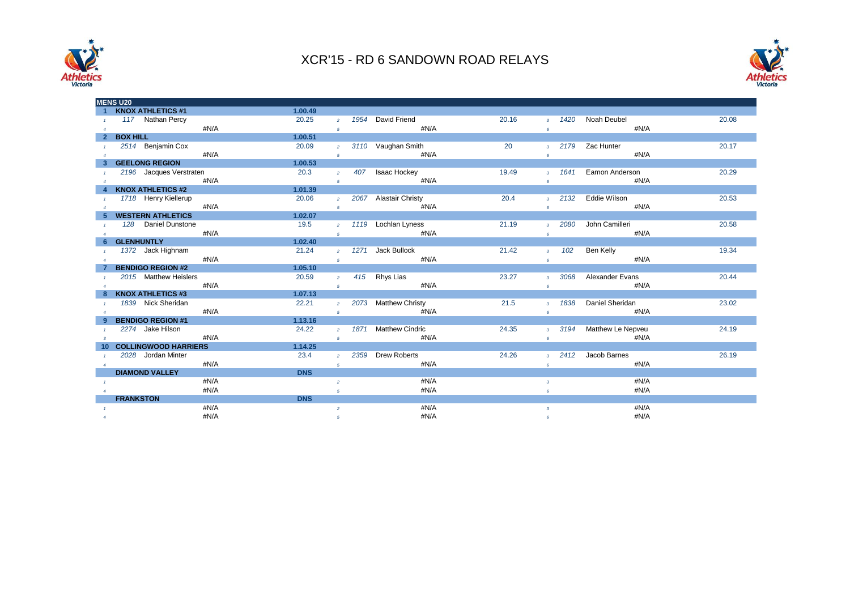



|                | <b>MENS U20</b>       |                                    |            |                |                             |       |                |      |                      |       |
|----------------|-----------------------|------------------------------------|------------|----------------|-----------------------------|-------|----------------|------|----------------------|-------|
|                |                       | <b>KNOX ATHLETICS #1</b>           | 1.00.49    |                |                             |       |                |      |                      |       |
| $\mathbf{1}$   |                       | 117 Nathan Percy                   | 20.25      | 2 <sup>1</sup> | 1954 David Friend           | 20.16 | 3 <sup>1</sup> | 1420 | Noah Deubel          | 20.08 |
| $\overline{4}$ |                       | #N/A                               |            | 5 <sup>5</sup> | #N/A                        |       | 6              |      | #N/A                 |       |
| $\mathbf{2}$   |                       | <b>BOX HILL AND REAL PROPERTY</b>  | 1.00.51    |                |                             |       |                |      |                      |       |
| $\mathcal{L}$  |                       | 2514 Benjamin Cox                  | 20.09      |                | 2 3110 Vaughan Smith        | 20    | $3-1$          |      | 2179 Zac Hunter      | 20.17 |
| $\overline{4}$ |                       | #N/A                               |            | 5 <sup>5</sup> | #N/A                        |       | $6^{\circ}$    |      | #N/A                 |       |
|                | <b>GEELONG REGION</b> |                                    | 1.00.53    |                |                             |       |                |      |                      |       |
| $\mathcal{L}$  |                       | 2196 Jacques Verstraten            | 20.3       | $2^{\circ}$    | 407 Isaac Hockey            | 19.49 | $3-1$          | 1641 | Eamon Anderson       | 20.29 |
| $\overline{4}$ |                       | #N/A                               |            | 5 <sup>5</sup> | #N/A                        |       | $6^{\circ}$    |      | #N/A                 |       |
|                |                       | <b>KNOX ATHLETICS #2</b>           | 1.01.39    |                |                             |       |                |      |                      |       |
| $\overline{1}$ |                       | 1718 Henry Kiellerup               | 20.06      |                | 2 2067 Alastair Christy     | 20.4  | $3-1$          |      | 2132 Eddie Wilson    | 20.53 |
| $\overline{A}$ |                       | #N/A                               |            | 5 <sup>5</sup> | #N/A                        |       | 6              |      | #N/A                 |       |
|                |                       | <b>WESTERN ATHLETICS</b>           | 1.02.07    |                |                             |       |                |      |                      |       |
| $\overline{1}$ |                       | 128 Daniel Dunstone                | 19.5       |                | 2 1119 Lochlan Lyness       | 21.19 | $3-1$          | 2080 | John Camilleri       | 20.58 |
| 4              |                       | #N/A                               |            | 5 <sup>5</sup> | #N/A                        |       | 6              |      | #N/A                 |       |
|                |                       | <b>GLENHUNTLY CLEARING CONTROL</b> | 1.02.40    |                |                             |       |                |      |                      |       |
|                |                       | 1372 Jack Highnam                  | 21.24      |                | 2 1271 Jack Bullock         | 21.42 | 3 <sup>7</sup> | 102  | Ben Kelly            | 19.34 |
| $\overline{A}$ |                       | #N/A                               |            | 5 <sub>5</sub> | #N/A                        |       | 6              |      | #N/A                 |       |
|                |                       | <b>BENDIGO REGION #2</b>           | 1.05.10    |                |                             |       |                |      |                      |       |
|                |                       | 2015 Matthew Heislers              | 20.59      |                | $\frac{2}{2}$ 415 Rhys Lias | 23.27 | $3-1$          |      | 3068 Alexander Evans | 20.44 |
|                |                       | #N/A                               |            | $5-1$          | #N/A                        |       | 6              |      | #N/A                 |       |
|                |                       | <b>KNOX ATHLETICS #3</b>           | 1.07.13    |                |                             |       |                |      |                      |       |
|                |                       | 1839 Nick Sheridan                 | 22.21      |                | 2 2073 Matthew Christy      | 21.5  | $3-1$          | 1838 | Daniel Sheridan      | 23.02 |
|                |                       | #N/A                               |            | 5 <sup>5</sup> | #N/A                        |       | 6              |      | #N/A                 |       |
|                |                       | <b>BENDIGO REGION #1</b>           | 1.13.16    |                |                             |       |                |      |                      |       |
|                |                       | 2274 Jake Hilson                   | 24.22      |                | 2 1871 Matthew Cindric      | 24.35 | $3-1$          | 3194 | Matthew Le Nepveu    | 24.19 |
| $\mathbf{3}$   |                       | #N/A                               |            | 5 <sup>5</sup> | #N/A                        |       | 6 <sup>1</sup> |      | #N/A                 |       |
|                |                       | <b>COLLINGWOOD HARRIERS</b>        | 1.14.25    |                |                             |       |                |      |                      |       |
|                |                       | 2028 Jordan Minter                 | 23.4       | $2^{\circ}$    | 2359 Drew Roberts           | 24.26 | $3-1$          | 2412 | Jacob Barnes         | 26.19 |
|                |                       | #N/A                               |            | 5              | #N/A                        |       | 6              |      | #N/A                 |       |
|                | <b>DIAMOND VALLEY</b> |                                    | <b>DNS</b> |                |                             |       |                |      |                      |       |
|                |                       | #N/A                               |            | $\overline{2}$ | #N/A                        |       | $\overline{3}$ |      | #N/A                 |       |
|                |                       | #N/A                               |            | 5              | #N/A                        |       | $\epsilon$     |      | #N/A                 |       |
|                | <b>FRANKSTON</b>      |                                    | <b>DNS</b> |                |                             |       |                |      |                      |       |
|                |                       | #N/A                               |            | $\overline{2}$ | #N/A                        |       | $\overline{3}$ |      | #N/A                 |       |
|                |                       | #N/A                               |            | $\overline{5}$ | #N/A                        |       | 6              |      | #N/A                 |       |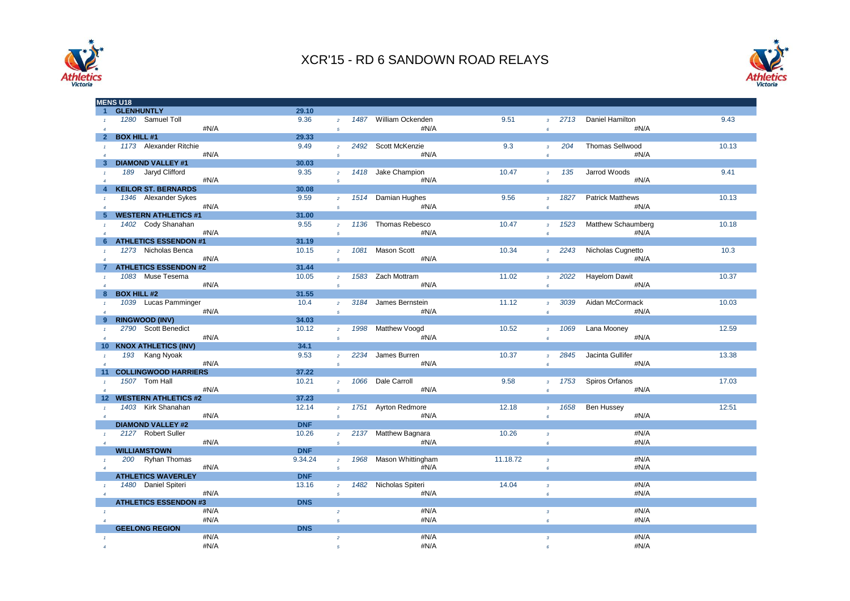



| <b>MENS U18</b>                                |                              |            |                |                        |          |                         |      |                           |       |
|------------------------------------------------|------------------------------|------------|----------------|------------------------|----------|-------------------------|------|---------------------------|-------|
| <b>GLENHUNTLY</b>                              |                              | 29.10      |                |                        |          |                         |      |                           |       |
| 1280 Samuel Toll                               |                              | 9.36       | $\overline{2}$ | 1487 William Ockenden  | 9.51     | 3 <sup>7</sup>          | 2713 | Daniel Hamilton           | 9.43  |
| $\overline{4}$                                 | #N/A                         |            | $\overline{5}$ | #N/A                   |          | $6\overline{6}$         |      | #N/A                      |       |
| <b>BOX HILL #1</b><br>$\overline{2}$           |                              | 29.33      |                |                        |          |                         |      |                           |       |
|                                                | 1173 Alexander Ritchie       | 9.49       | $\overline{2}$ | 2492 Scott McKenzie    | 9.3      | $\overline{3}$          | 204  | <b>Thomas Sellwood</b>    | 10.13 |
| $\overline{A}$                                 | #N/A                         |            | $\overline{5}$ | #N/A                   |          | $6^{\circ}$             |      | #N/A                      |       |
| <b>DIAMOND VALLEY #1</b><br>3                  |                              | 30.03      |                |                        |          |                         |      |                           |       |
| 189 Jaryd Clifford                             |                              | 9.35       | $2^{\circ}$    | 1418 Jake Champion     | 10.47    | $\overline{3}$          | 135  | Jarrod Woods              | 9.41  |
| $\overline{4}$                                 | #N/A                         |            | $\overline{5}$ | #N/A                   |          | $6^{\circ}$             |      | #N/A                      |       |
| <b>KEILOR ST. BERNARDS</b>                     |                              | 30.08      |                |                        |          |                         |      |                           |       |
|                                                | 1346 Alexander Sykes         | 9.59       | $2^{\circ}$    | 1514 Damian Hughes     | 9.56     | $\overline{3}$          | 1827 | <b>Patrick Matthews</b>   | 10.13 |
| $\overline{A}$                                 | #N/A                         |            | $\mathfrak{s}$ | #N/A                   |          | $6\overline{6}$         |      | #N/A                      |       |
|                                                | <b>WESTERN ATHLETICS #1</b>  | 31.00      |                |                        |          |                         |      |                           |       |
|                                                | 1402 Cody Shanahan           | 9.55       | $\overline{2}$ | 1136 Thomas Rebesco    | 10.47    | $\overline{3}$          | 1523 | <b>Matthew Schaumberg</b> | 10.18 |
| $\overline{4}$                                 | #N/A                         |            | 5              | #N/A                   |          | 6                       |      | #N/A                      |       |
| 6                                              | <b>ATHLETICS ESSENDON #1</b> | 31.19      |                |                        |          |                         |      |                           |       |
|                                                | 1273 Nicholas Benca          | 10.15      | $\overline{2}$ | 1081 Mason Scott       | 10.34    | $\overline{3}$          | 2243 | Nicholas Cugnetto         | 10.3  |
|                                                | #N/A                         |            | 5              | #N/A                   |          | $6\overline{6}$         |      | #N/A                      |       |
|                                                | <b>ATHLETICS ESSENDON #2</b> | 31.44      |                |                        |          |                         |      |                           |       |
| 1083 Muse Tesema                               |                              | 10.05      |                | 1583 Zach Mottram      | 11.02    |                         | 2022 | <b>Hayelom Dawit</b>      | 10.37 |
| $\overline{A}$                                 | #N/A                         |            | $\overline{2}$ | #N/A                   |          | $\mathbf{3}$            |      | #N/A                      |       |
| <b>BOX HILL #2</b><br>8                        |                              | 31.55      | $\overline{5}$ |                        |          | $6^{\circ}$             |      |                           |       |
|                                                |                              | 10.4       |                | 3184 James Bernstein   |          |                         |      | Aidan McCormack           |       |
|                                                | 1039 Lucas Pamminger         |            | $\overline{2}$ |                        | 11.12    | $\overline{3}$          | 3039 |                           | 10.03 |
| $\overline{4}$                                 | #N/A                         |            | 5              | #N/A                   |          | $\pmb{6}$               |      | #N/A                      |       |
| <b>RINGWOOD (INV)</b><br>9                     |                              | 34.03      |                |                        |          |                         |      |                           |       |
| 2790 Scott Benedict                            |                              | 10.12      | $2^{\circ}$    | 1998 Matthew Voogd     | 10.52    | $\overline{3}$          | 1069 | Lana Mooney               | 12.59 |
|                                                | #N/A                         |            | $\overline{5}$ | #N/A                   |          | $6^{\circ}$             |      | #N/A                      |       |
| <b>KNOX ATHLETICS (INV)</b><br>10 <sup>1</sup> |                              | 34.1       |                |                        |          |                         |      |                           |       |
| 193 Kang Nyoak                                 |                              | 9.53       | $\overline{2}$ | 2234 James Burren      | 10.37    | $\overline{3}$          | 2845 | Jacinta Gullifer          | 13.38 |
| $\overline{A}$                                 | #N/A                         |            | $\overline{5}$ | #N/A                   |          | $\epsilon$              |      | #N/A                      |       |
|                                                | <b>COLLINGWOOD HARRIERS</b>  | 37.22      |                |                        |          |                         |      |                           |       |
| 1507 Tom Hall                                  |                              | 10.21      | $\overline{2}$ | 1066 Dale Carroll      | 9.58     | $\overline{3}$          | 1753 | Spiros Orfanos            | 17.03 |
| $\overline{A}$                                 | #N/A                         |            | $\mathfrak{s}$ | #N/A                   |          | $\pmb{6}$               |      | #N/A                      |       |
| $12 \,$                                        | <b>WESTERN ATHLETICS #2</b>  | 37.23      |                |                        |          |                         |      |                           |       |
| 1403 Kirk Shanahan                             |                              | 12.14      | $2^{\circ}$    | 1751 Ayrton Redmore    | 12.18    | $\overline{3}$          | 1658 | Ben Hussey                | 12:51 |
| $\overline{A}$                                 | #N/A                         |            | $\overline{5}$ | #N/A                   |          | $6^{\circ}$             |      | #N/A                      |       |
| <b>DIAMOND VALLEY #2</b>                       |                              | <b>DNF</b> |                |                        |          |                         |      |                           |       |
| 2127 Robert Suller                             |                              | 10.26      | 2 <sup>7</sup> | 2137 Matthew Bagnara   | 10.26    | $\mathbf 3$             |      | #N/A                      |       |
| $\overline{A}$                                 | #N/A                         |            | $\overline{5}$ | #N/A                   |          | $6^{\circ}$             |      | #N/A                      |       |
| <b>WILLIAMSTOWN</b>                            |                              | <b>DNF</b> |                |                        |          |                         |      |                           |       |
|                                                | 200 Ryhan Thomas             | 9.34.24    | $\overline{2}$ | 1968 Mason Whittingham | 11.18.72 | $\overline{3}$          |      | #N/A                      |       |
| $\overline{4}$                                 | #N/A                         |            | 5              | #N/A                   |          | 6                       |      | #N/A                      |       |
| <b>ATHLETICS WAVERLEY</b>                      |                              | <b>DNF</b> |                |                        |          |                         |      |                           |       |
| 1480 Daniel Spiteri                            |                              | 13.16      | $\overline{2}$ | 1482 Nicholas Spiteri  | 14.04    | $\overline{3}$          |      | #N/A                      |       |
|                                                | #N/A                         |            | $5^{\circ}$    | #N/A                   |          | $\pmb{6}$               |      | #N/A                      |       |
|                                                | <b>ATHLETICS ESSENDON #3</b> | <b>DNS</b> |                |                        |          |                         |      |                           |       |
|                                                | #N/A                         |            | $\overline{2}$ | #N/A                   |          | $\overline{\mathbf{3}}$ |      | #N/A                      |       |
|                                                | #N/A                         |            | $\sqrt{5}$     | #N/A                   |          | $\boldsymbol{6}$        |      | #N/A                      |       |
| <b>GEELONG REGION</b>                          |                              | <b>DNS</b> |                |                        |          |                         |      |                           |       |
|                                                | #N/A                         |            | $\overline{a}$ | #N/A                   |          | $\mathbf{3}$            |      | #N/A                      |       |
|                                                | #N/A                         |            | 5              | #N/A                   |          | 6                       |      | #N/A                      |       |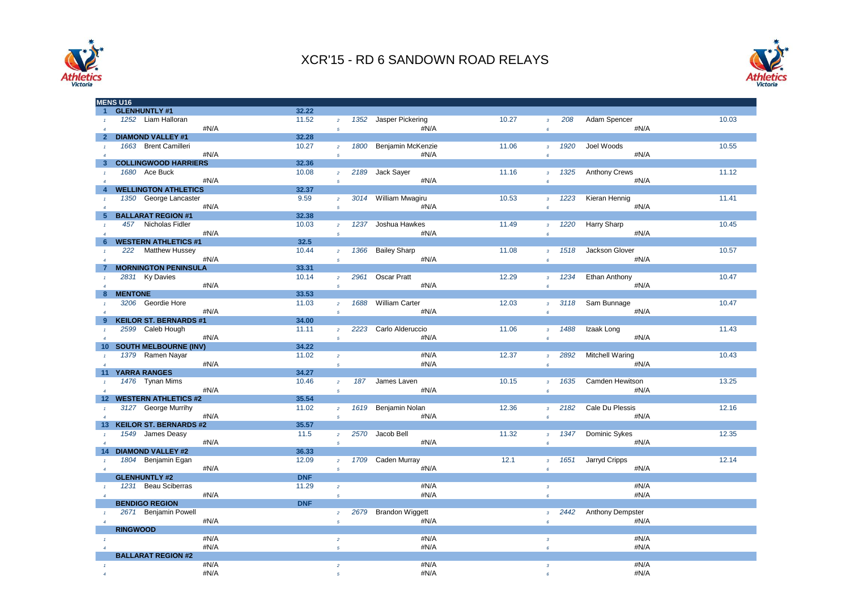



| <b>MENS U16</b>                            |      |            |                        |                        |       |                         |      |                         |       |
|--------------------------------------------|------|------------|------------------------|------------------------|-------|-------------------------|------|-------------------------|-------|
| <b>GLENHUNTLY #1</b>                       |      | 32.22      |                        |                        |       |                         |      |                         |       |
| 1252 Liam Halloran                         |      | 11.52      | 1352<br>$\overline{2}$ | Jasper Pickering       | 10.27 | $\mathbf{3}$            | 208  | Adam Spencer            | 10.03 |
|                                            | #N/A |            | 5                      | #N/A                   |       | 6                       |      | #N/A                    |       |
| <b>DIAMOND VALLEY #1</b><br>$\overline{2}$ |      | 32.28      |                        |                        |       |                         |      |                         |       |
| 1663 Brent Camilleri                       |      | 10.27      | 1800<br>$\overline{2}$ | Benjamin McKenzie      | 11.06 | $\mathbf{3}$            | 1920 | Joel Woods              | 10.55 |
| $\overline{4}$                             | #N/A |            | 5                      | #N/A                   |       | 6                       |      | #N/A                    |       |
| <b>COLLINGWOOD HARRIERS</b><br>3           |      | 32.36      |                        |                        |       |                         |      |                         |       |
| 1680 Ace Buck                              |      | 10.08      | 2189<br>$\overline{2}$ | Jack Sayer             | 11.16 | $\mathbf{3}$            | 1325 | <b>Anthony Crews</b>    | 11.12 |
| $\overline{4}$                             | #N/A |            | $\sqrt{5}$             | #N/A                   |       | $\epsilon$              |      | #N/A                    |       |
| <b>WELLINGTON ATHLETICS</b>                |      | 32.37      |                        |                        |       |                         |      |                         |       |
|                                            |      |            |                        |                        |       |                         |      |                         |       |
| 1350 George Lancaster<br>$\mathbf{f}$      |      | 9.59       | $\overline{2}$         | 3014 William Mwagiru   | 10.53 | $\overline{3}$          | 1223 | Kieran Hennig           | 11.41 |
| $\overline{4}$                             | #N/A |            | 5                      | #N/A                   |       | $\pmb{6}$               |      | #N/A                    |       |
| <b>BALLARAT REGION #1</b><br>5             |      | 32.38      |                        |                        |       |                         |      |                         |       |
| 457 Nicholas Fidler                        |      | 10.03      | 1237<br>$\overline{2}$ | Joshua Hawkes          | 11.49 | $\mathbf{3}$            | 1220 | Harry Sharp             | 10.45 |
| $\overline{4}$                             | #N/A |            | $\sqrt{5}$             | #N/A                   |       | $\pmb{6}$               |      | #N/A                    |       |
| <b>WESTERN ATHLETICS #1</b><br>6           |      | 32.5       |                        |                        |       |                         |      |                         |       |
| 222 Matthew Hussey<br>$\overline{1}$       |      | 10.44      | 1366<br>$\overline{2}$ | <b>Bailey Sharp</b>    | 11.08 | $\overline{3}$          | 1518 | Jackson Glover          | 10.57 |
| $\overline{4}$                             | #N/A |            | $\sqrt{5}$             | #N/A                   |       | $\pmb{6}$               |      | #N/A                    |       |
| <b>MORNINGTON PENINSULA</b>                |      | 33.31      |                        |                        |       |                         |      |                         |       |
| 2831 Ky Davies<br>$\overline{1}$           |      | 10.14      | 2961<br>$\overline{2}$ | <b>Oscar Pratt</b>     | 12.29 | $\overline{3}$          | 1234 | Ethan Anthony           | 10.47 |
| $\overline{4}$                             | #N/A |            | 5                      | #N/A                   |       | $\pmb{6}$               |      | #N/A                    |       |
| <b>MENTONE</b><br>8                        |      | 33.53      |                        |                        |       |                         |      |                         |       |
| 3206 Geordie Hore                          |      | 11.03      | 1688<br>$\overline{2}$ | <b>William Carter</b>  | 12.03 | $\overline{3}$          | 3118 | Sam Bunnage             | 10.47 |
| $\overline{4}$                             | #N/A |            | 5                      | #N/A                   |       | $\pmb{6}$               |      | #N/A                    |       |
| <b>KEILOR ST. BERNARDS #1</b><br>9         |      | 34.00      |                        |                        |       |                         |      |                         |       |
| 2599 Caleb Hough                           |      | 11.11      | 2223<br>$\overline{a}$ | Carlo Alderuccio       | 11.06 | $\overline{\mathbf{3}}$ | 1488 | Izaak Long              | 11.43 |
| $\lambda$                                  | #N/A |            | $\overline{5}$         | #N/A                   |       | $\pmb{6}$               |      | #N/A                    |       |
| 10 SOUTH MELBOURNE (INV)                   |      | 34.22      |                        |                        |       |                         |      |                         |       |
| 1379 Ramen Nayar<br>$\mathbf{f}$           |      | 11.02      | $\overline{2}$         | #N/A                   | 12.37 | $\overline{3}$          | 2892 | Mitchell Waring         | 10.43 |
| $\lambda$                                  | #N/A |            | $\overline{5}$         | #N/A                   |       | $\pmb{6}$               |      | #N/A                    |       |
| <b>YARRA RANGES</b><br>11                  |      | 34.27      |                        |                        |       |                         |      |                         |       |
| 1476 Tynan Mims                            |      | 10.46      | 187<br>$\overline{a}$  | James Laven            | 10.15 | $\overline{3}$          | 1635 | Camden Hewitson         | 13.25 |
|                                            | #N/A |            | 5                      | #N/A                   |       | 6                       |      | #N/A                    |       |
| 12 WESTERN ATHLETICS #2                    |      | 35.54      |                        |                        |       |                         |      |                         |       |
| 3127 George Murrihy                        |      | 11.02      | 1619                   | Benjamin Nolan         | 12.36 | $\overline{\mathbf{3}}$ | 2182 | Cale Du Plessis         | 12.16 |
| $\overline{A}$                             | #N/A |            | $\overline{2}$         | #N/A                   |       | $\epsilon$              |      | #N/A                    |       |
| <b>KEILOR ST. BERNARDS #2</b><br>13        |      | 35.57      | $\sqrt{5}$             |                        |       |                         |      |                         |       |
|                                            |      |            | 2570                   | Jacob Bell             | 11.32 |                         |      |                         | 12.35 |
| 1549 James Deasy<br>$\overline{1}$         | #N/A | 11.5       | 2 <sup>7</sup>         | #N/A                   |       | $\overline{3}$          | 1347 | Dominic Sykes           |       |
| $\overline{A}$                             |      |            | $\overline{5}$         |                        |       | $\epsilon$              |      | #N/A                    |       |
| <b>DIAMOND VALLEY #2</b><br>14             |      | 36.33      |                        |                        |       |                         |      |                         |       |
| 1804 Benjamin Egan<br>$\mathbf{f}$         |      | 12.09      | 2 <sup>1</sup>         | 1709 Caden Murray      | 12.1  | $\overline{3}$          | 1651 | Jarryd Cripps           | 12.14 |
| $\overline{4}$                             | #N/A |            | 5                      | #N/A                   |       | 6                       |      | #N/A                    |       |
| <b>GLENHUNTLY #2</b>                       |      | <b>DNF</b> |                        |                        |       |                         |      |                         |       |
| <b>Beau Sciberras</b><br>1231<br>1         |      | 11.29      | $\overline{a}$         | #N/A                   |       | $\overline{3}$          |      | #N/A                    |       |
| $\overline{A}$                             | #N/A |            | 5                      | #N/A                   |       | $\epsilon$              |      | #N/A                    |       |
| <b>BENDIGO REGION</b>                      |      | <b>DNF</b> |                        |                        |       |                         |      |                         |       |
| 2671 Benjamin Powell                       |      |            | 2679<br>$\overline{a}$ | <b>Brandon Wiggett</b> |       | $\overline{3}$          | 2442 | <b>Anthony Dempster</b> |       |
| $\overline{A}$                             | #N/A |            | $\overline{5}$         | #N/A                   |       | 6                       |      | #N/A                    |       |
| <b>RINGWOOD</b>                            |      |            |                        |                        |       |                         |      |                         |       |
|                                            | #N/A |            | $\overline{2}$         | #N/A                   |       | $\overline{3}$          |      | #N/A                    |       |
|                                            | #N/A |            | 5                      | #N/A                   |       | 6                       |      | #N/A                    |       |
| <b>BALLARAT REGION #2</b>                  |      |            |                        |                        |       |                         |      |                         |       |
|                                            | #N/A |            | $\overline{2}$         | #N/A                   |       | $\overline{3}$          |      | #N/A                    |       |
|                                            | #N/A |            | $\overline{5}$         | #N/A                   |       | 6                       |      | #N/A                    |       |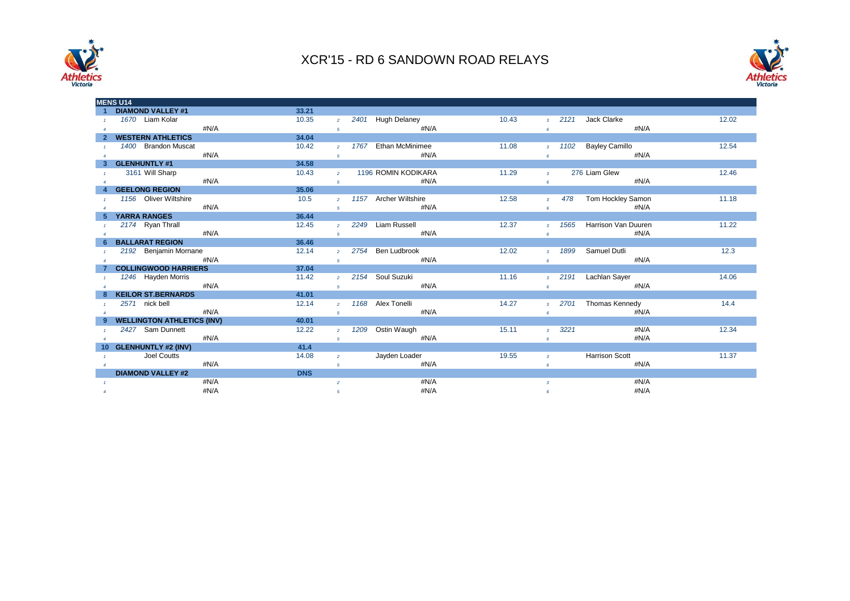



| <b>MENS U14</b>                   |                                 |                                 |                                                 |               |
|-----------------------------------|---------------------------------|---------------------------------|-------------------------------------------------|---------------|
| <b>DIAMOND VALLEY #1</b>          | 33.21                           |                                 |                                                 |               |
| 1670 Liam Kolar                   | 10.35<br>$\overline{2}$         | 2401 Hugh Delaney<br>10.43      | Jack Clarke<br>2121<br>3 <sup>1</sup>           | 12.02         |
| #N/A                              | 5                               | #N/A                            | 6                                               | #N/A          |
| <b>WESTERN ATHLETICS</b>          | 34.04                           |                                 |                                                 |               |
| 1400 Brandon Muscat               | 10.42<br>1767<br>$\overline{2}$ | <b>Ethan McMinimee</b><br>11.08 | 1102<br><b>Bayley Camillo</b><br>$\overline{3}$ | 12.54         |
| #N/A                              | 5                               | #N/A                            | 6                                               | #N/A          |
| <b>GLENHUNTLY #1</b><br>3         | 34.58                           |                                 |                                                 |               |
| 3161 Will Sharp                   | 10.43<br>$\overline{2}$         | 1196 ROMIN KODIKARA<br>11.29    | 276 Liam Glew<br>3 <sup>1</sup>                 | 12.46         |
| #N/A                              | 5 <sup>5</sup>                  | #N/A                            | 6                                               | #N/A          |
| <b>GEELONG REGION</b>             | 35.06                           |                                 |                                                 |               |
| 1156 Oliver Wiltshire             | 10.5<br>$\overline{2}$          | 1157 Archer Wiltshire<br>12.58  | Tom Hockley Samon<br>478<br>$3-1$               | 11.18         |
| #N/A                              | 5                               | #N/A                            | 6                                               | #N/A          |
| <b>YARRA RANGES</b>               | 36.44                           |                                 |                                                 |               |
| 2174 Ryan Thrall                  | 12.45<br>$\overline{2}$         | 2249 Liam Russell<br>12.37      | Harrison Van Duuren<br>1565<br>$\mathbf{3}$     | 11.22         |
| #N/A<br>$\overline{A}$            | 5                               | #N/A                            | 6                                               | #N/A          |
| <b>BALLARAT REGION</b>            | 36.46                           |                                 |                                                 |               |
| 2192 Benjamin Mornane             | 12.14<br>2754<br>$\overline{2}$ | Ben Ludbrook<br>12.02           | 1899<br>Samuel Dutli<br>$\overline{3}$          | 12.3          |
| #N/A                              | 5                               | #N/A                            | 6                                               | #N/A          |
| <b>COLLINGWOOD HARRIERS</b>       | 37.04                           |                                 |                                                 |               |
| 1246 Hayden Morris                | 11.42<br>$\overline{2}$         | 2154 Soul Suzuki<br>11.16       | Lachlan Sayer<br>2191<br>$3-1$                  | 14.06         |
| #N/A                              | $\sqrt{5}$                      | #N/A                            | 6                                               | #N/A          |
| <b>KEILOR ST.BERNARDS</b>         | 41.01                           |                                 |                                                 |               |
| 2571 nick bell                    | 12.14<br>$\overline{2}$         | 1168 Alex Tonelli<br>14.27      | Thomas Kennedy<br>2701<br>3 <sup>7</sup>        | 14.4          |
| #N/A                              | 5                               | #N/A                            | 6                                               | #N/A          |
| <b>WELLINGTON ATHLETICS (INV)</b> | 40.01                           |                                 |                                                 |               |
| 2427 Sam Dunnett                  | 12.22<br>$\overline{2}$         | 1209 Ostin Waugh<br>15.11       | 3221<br>3 <sup>7</sup>                          | 12.34<br>#N/A |
| #N/A                              | 5                               | #N/A                            | 6                                               | #N/A          |
| <b>GLENHUNTLY #2 (INV)</b>        | 41.4                            |                                 |                                                 |               |
| Joel Coutts<br>$\mathbf{f}$       | 14.08<br>$\overline{2}$         | Jayden Loader<br>19.55          | Harrison Scott<br>$\mathbf{3}$                  | 11.37         |
| #N/A                              | 5                               | #N/A                            | 6                                               | #N/A          |
| <b>DIAMOND VALLEY #2</b>          | <b>DNS</b>                      |                                 |                                                 |               |
| #N/A                              | $\overline{2}$                  | #N/A                            | $\overline{3}$                                  | #N/A          |
| #N/A                              | 5                               | #N/A                            | 6                                               | #N/A          |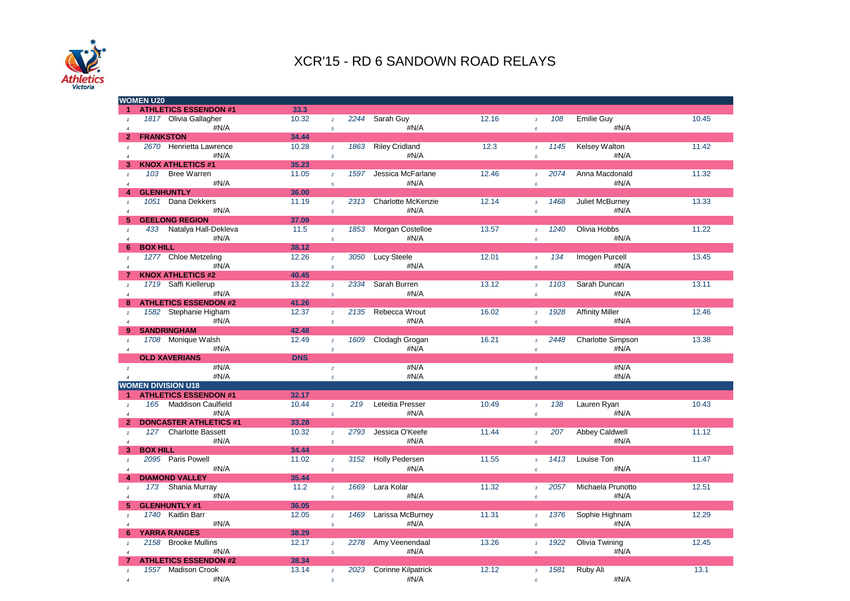

|                       | <b>WOMEN U20</b>                |            |                |      |                           |       |                 |      |                          |       |
|-----------------------|---------------------------------|------------|----------------|------|---------------------------|-------|-----------------|------|--------------------------|-------|
| 1                     | <b>ATHLETICS ESSENDON #1</b>    | 33.3       |                |      |                           |       |                 |      |                          |       |
|                       | 1817 Olivia Gallagher           | 10.32      | $\overline{2}$ | 2244 | Sarah Guy                 | 12.16 | $\overline{3}$  | 108  | <b>Emilie Guy</b>        | 10.45 |
| $\overline{4}$        | #N/A                            |            | $\overline{5}$ |      | #N/A                      |       | $\epsilon$      |      | #N/A                     |       |
| $\overline{2}$        | <b>FRANKSTON</b>                | 34.44      |                |      |                           |       |                 |      |                          |       |
|                       | 2670 Henrietta Lawrence         | 10.28      | $\overline{a}$ | 1863 | <b>Riley Cridland</b>     | 12.3  | $\overline{3}$  | 1145 | <b>Kelsey Walton</b>     | 11.42 |
| $\overline{4}$        | #N/A                            |            | $\sqrt{5}$     |      | #N/A                      |       | $\epsilon$      |      | #N/A                     |       |
| 3                     | <b>KNOX ATHLETICS #1</b>        | 35.23      |                |      |                           |       |                 |      |                          |       |
| $\mathbf{1}$          | 103<br><b>Bree Warren</b>       | 11.05      | $\overline{a}$ | 1597 | Jessica McFarlane         | 12.46 | $\overline{3}$  | 2074 | Anna Macdonald           | 11.32 |
| $\overline{4}$        | #N/A                            |            | $\sqrt{5}$     |      | #N/A                      |       | 6               |      | #N/A                     |       |
| 4                     | <b>GLENHUNTLY</b>               | 36.00      |                |      |                           |       |                 |      |                          |       |
|                       | 1051 Dana Dekkers               | 11.19      | $\overline{a}$ | 2313 | <b>Charlotte McKenzie</b> | 12.14 | $\overline{3}$  | 1468 | <b>Juliet McBurney</b>   | 13.33 |
| $\overline{4}$        | #N/A                            |            | $\overline{5}$ |      | #N/A                      |       | $\ddot{\theta}$ |      | #N/A                     |       |
| 5                     | <b>GEELONG REGION</b>           | 37.09      |                |      |                           |       |                 |      |                          |       |
| $\mathbf{1}$          | 433<br>Natalya Hall-Dekleva     | 11.5       | $\overline{a}$ | 1853 | Morgan Costelloe          | 13.57 | $\overline{3}$  | 1240 | Olivia Hobbs             | 11.22 |
| $\overline{4}$        | #N/A                            |            | $\overline{5}$ |      | #N/A                      |       | 6               |      | #N/A                     |       |
| 6                     | <b>BOX HILL</b>                 | 38.12      |                |      |                           |       |                 |      |                          |       |
|                       | 1277 Chloe Metzeling            | 12.26      | $\overline{2}$ | 3050 | <b>Lucy Steele</b>        | 12.01 | $\overline{3}$  | 134  | Imogen Purcell           | 13.45 |
| $\overline{4}$        | #N/A                            |            | $\overline{5}$ |      | #N/A                      |       | $\epsilon$      |      | #N/A                     |       |
| 7                     | <b>KNOX ATHLETICS #2</b>        | 40.45      |                |      |                           |       |                 |      |                          |       |
| $\mathbf{1}$          | 1719 Saffi Kiellerup            | 13.22      | $\overline{2}$ | 2334 | Sarah Burren              | 13.12 | $\overline{3}$  | 1103 | Sarah Duncan             | 13.11 |
| $\overline{4}$        | #N/A                            |            | $\sqrt{5}$     |      | #N/A                      |       | 6               |      | #N/A                     |       |
| 8                     | <b>ATHLETICS ESSENDON #2</b>    | 41.26      |                |      |                           |       |                 |      |                          |       |
|                       | 1582 Stephanie Higham           | 12.37      | $\overline{a}$ |      | 2135 Rebecca Wrout        | 16.02 | $\overline{3}$  | 1928 | <b>Affinity Miller</b>   | 12.46 |
| $\overline{4}$        | #N/A                            |            | $\overline{5}$ |      | #N/A                      |       | $6\overline{6}$ |      | #N/A                     |       |
| 9                     | <b>SANDRINGHAM</b>              | 42.48      |                |      |                           |       |                 |      |                          |       |
| $\mathbf{1}$          | 1708 Monique Walsh              | 12.49      | $\overline{a}$ | 1609 | Clodagh Grogan            | 16.21 | $\overline{3}$  | 2448 | <b>Charlotte Simpson</b> | 13.38 |
| $\overline{4}$        | #N/A                            |            | $\sqrt{5}$     |      | #N/A                      |       | 6               |      | #N/A                     |       |
|                       | <b>OLD XAVERIANS</b>            | <b>DNS</b> |                |      |                           |       |                 |      |                          |       |
| $\mathbf{1}$          | #N/A                            |            | $\overline{a}$ |      | #N/A                      |       | $\overline{3}$  |      | #N/A                     |       |
| $\overline{4}$        | #N/A                            |            | $\overline{5}$ |      | #N/A                      |       | $6\overline{6}$ |      | #N/A                     |       |
|                       | <b>WOMEN DIVISION U18</b>       |            |                |      |                           |       |                 |      |                          |       |
|                       | <b>ATHLETICS ESSENDON #1</b>    | 32.17      |                |      |                           |       |                 |      |                          |       |
|                       | 165 Maddison Caulfield          | 10.44      | $\overline{a}$ | 219  | Leteitia Presser          | 10.49 | $\overline{3}$  | 138  | Lauren Ryan              | 10.43 |
| $\overline{A}$        | #N/A                            |            | $\overline{5}$ |      | #N/A                      |       | $\epsilon$      |      | #N/A                     |       |
|                       | <b>DONCASTER ATHLETICS #1</b>   | 33.28      |                |      |                           |       |                 |      |                          |       |
| $\mathcal{I}$         | 127<br><b>Charlotte Bassett</b> | 10.32      | $\overline{2}$ | 2793 | Jessica O'Keefe           | 11.44 | $\mathbf{3}$    | 207  | <b>Abbey Caldwell</b>    | 11.12 |
| $\overline{A}$        | #N/A                            |            | $\overline{5}$ |      | #N/A                      |       | $\epsilon$      |      | #N/A                     |       |
| 3                     | <b>BOX HILL</b>                 | 34.44      |                |      |                           |       |                 |      |                          |       |
| $\mathbf{1}$          | 2095 Paris Powell               | 11.02      | $\overline{2}$ | 3152 | <b>Holly Pedersen</b>     | 11.55 | $\overline{3}$  | 1413 | Louise Ton               | 11.47 |
| $\boldsymbol{\Delta}$ | #N/A                            |            |                |      | #N/A                      |       |                 |      | #N/A                     |       |
| 4                     | <b>DIAMOND VALLEY</b>           | 35.44      | $\overline{5}$ |      |                           |       | 6               |      |                          |       |
|                       | Shania Murray<br>173            | 11.2       | $\overline{a}$ | 1669 | Lara Kolar                | 11.32 | $\overline{3}$  | 2057 | Michaela Prunotto        | 12.51 |
| $\mathbf{1}$          |                                 |            |                |      |                           |       |                 |      |                          |       |
| 5                     | #N/A<br><b>GLENHUNTLY #1</b>    | 36.05      | $\overline{5}$ |      | #N/A                      |       | $\epsilon$      |      | #N/A                     |       |
|                       |                                 |            |                |      |                           |       |                 |      |                          |       |
|                       | 1740 Kaitlin Barr               | 12.05      | $\overline{a}$ | 1469 | Larissa McBurney          | 11.31 | $\overline{3}$  | 1376 | Sophie Highnam           | 12.29 |
|                       | #N/A                            |            | $\overline{5}$ |      | #N/A                      |       | $\epsilon$      |      | #N/A                     |       |
| Б                     | <b>YARRA RANGES</b>             | 38.29      |                |      |                           |       |                 |      |                          |       |
|                       | 2158<br><b>Brooke Mullins</b>   | 12.17      | $\overline{a}$ | 2278 | Amy Veenendaal            | 13.26 | $\overline{3}$  | 1922 | Olivia Twining           | 12.45 |
|                       | #N/A                            |            | $\sqrt{5}$     |      | #N/A                      |       | $\epsilon$      |      | #N/A                     |       |
|                       | <b>ATHLETICS ESSENDON #2</b>    | 38.34      |                |      |                           |       |                 |      |                          |       |
|                       | 1557 Madison Crook              | 13.14      | $\overline{a}$ | 2023 | <b>Corinne Kilpatrick</b> | 12.12 | $\overline{3}$  | 1581 | Ruby Ali                 | 13.1  |
|                       | #N/A                            |            | $\overline{5}$ |      | #N/A                      |       | 6               |      | #N/A                     |       |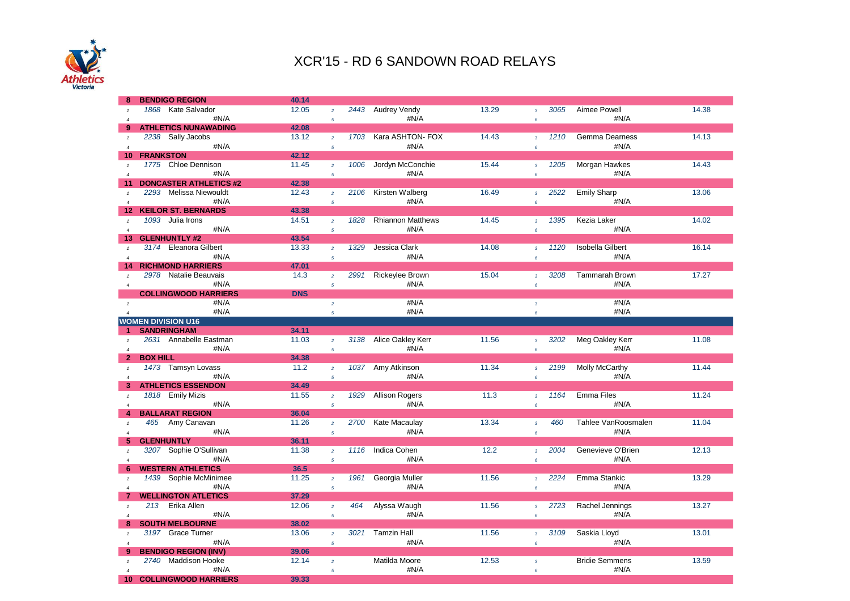

| 8                     | <b>BENDIGO REGION</b>         | 40.14      |                |      |                        |       |                         |      |                         |       |
|-----------------------|-------------------------------|------------|----------------|------|------------------------|-------|-------------------------|------|-------------------------|-------|
|                       | 1868 Kate Salvador            | 12.05      | $\overline{a}$ |      | 2443 Audrey Vendy      | 13.29 | $\overline{3}$          | 3065 | Aimee Powell            | 14.38 |
| $\overline{A}$        | #N/A                          |            | $\sqrt{5}$     |      | #N/A                   |       | 6                       |      | #N/A                    |       |
| 9                     | <b>ATHLETICS NUNAWADING</b>   | 42.08      |                |      |                        |       |                         |      |                         |       |
|                       |                               |            |                |      |                        |       |                         |      |                         |       |
| $\mathbf{1}$          | 2238 Sally Jacobs             | 13.12      | $\overline{a}$ |      | 1703 Kara ASHTON- FOX  | 14.43 | $\overline{3}$          | 1210 | <b>Gemma Dearness</b>   | 14.13 |
| $\boldsymbol{\Delta}$ | #N/A                          |            | $\sqrt{5}$     |      | #N/A                   |       | 6                       |      | #N/A                    |       |
| 10                    | <b>FRANKSTON</b>              | 42.12      |                |      |                        |       |                         |      |                         |       |
|                       | 1775 Chloe Dennison           | 11.45      | $\overline{a}$ |      | 1006 Jordyn McConchie  | 15.44 | $\overline{\mathbf{3}}$ | 1205 | Morgan Hawkes           | 14.43 |
| $\overline{A}$        | #N/A                          |            | $\overline{5}$ |      | #N/A                   |       | $\boldsymbol{6}$        |      | #N/A                    |       |
|                       |                               |            |                |      |                        |       |                         |      |                         |       |
| 11                    | <b>DONCASTER ATHLETICS #2</b> | 42.38      |                |      |                        |       |                         |      |                         |       |
| $\mathbf{1}$          | 2293 Melissa Niewouldt        | 12.43      | $\overline{2}$ | 2106 | Kirsten Walberg        | 16.49 | $\overline{3}$          | 2522 | <b>Emily Sharp</b>      | 13.06 |
| $\overline{4}$        | #N/A                          |            | $\sqrt{5}$     |      | #N/A                   |       | 6                       |      | #N/A                    |       |
| 12                    | <b>KEILOR ST. BERNARDS</b>    | 43.38      |                |      |                        |       |                         |      |                         |       |
|                       | 1093 Julia Irons              | 14.51      | $\overline{a}$ |      | 1828 Rhiannon Matthews | 14.45 | $\overline{3}$          | 1395 | Kezia Laker             | 14.02 |
| $\overline{4}$        | #N/A                          |            | $\overline{5}$ |      | #N/A                   |       | 6                       |      | #N/A                    |       |
|                       |                               |            |                |      |                        |       |                         |      |                         |       |
| 13                    | <b>GLENHUNTLY #2</b>          | 43.54      |                |      |                        |       |                         |      |                         |       |
| $\mathbf{1}$          | 3174 Eleanora Gilbert         | 13.33      | $\overline{a}$ |      | 1329 Jessica Clark     | 14.08 | $\overline{3}$          | 1120 | <b>Isobella Gilbert</b> | 16.14 |
| $\overline{A}$        | #N/A                          |            | $\sqrt{5}$     |      | #N/A                   |       | 6                       |      | #N/A                    |       |
| 14                    | <b>RICHMOND HARRIERS</b>      | 47.01      |                |      |                        |       |                         |      |                         |       |
| $\mathbf{1}$          | 2978 Natalie Beauvais         | 14.3       | $\overline{a}$ | 2991 | Rickeylee Brown        | 15.04 | $\overline{3}$          | 3208 | <b>Tammarah Brown</b>   | 17.27 |
|                       | #N/A                          |            |                |      |                        |       |                         |      | #N/A                    |       |
| $\overline{4}$        |                               |            | $\overline{5}$ |      | #N/A                   |       | $\epsilon$              |      |                         |       |
|                       | <b>COLLINGWOOD HARRIERS</b>   | <b>DNS</b> |                |      |                        |       |                         |      |                         |       |
| $\mathbf{1}$          | #N/A                          |            | $\overline{a}$ |      | #N/A                   |       | $\overline{3}$          |      | #N/A                    |       |
| $\overline{4}$        | #N/A                          |            | $\overline{5}$ |      | #N/A                   |       | 6                       |      | #N/A                    |       |
|                       | <b>WOMEN DIVISION U16</b>     |            |                |      |                        |       |                         |      |                         |       |
|                       | <b>SANDRINGHAM</b>            | 34.11      |                |      |                        |       |                         |      |                         |       |
|                       |                               |            |                |      |                        |       |                         |      |                         |       |
|                       | 2631 Annabelle Eastman        | 11.03      | $\overline{a}$ |      | 3138 Alice Oakley Kerr | 11.56 | $\overline{3}$          | 3202 | Meg Oakley Kerr         | 11.08 |
| $\overline{A}$        | #N/A                          |            | $\overline{5}$ |      | #N/A                   |       | $6^{\circ}$             |      | #N/A                    |       |
| $\overline{2}$        | <b>BOX HILL</b>               | 34.38      |                |      |                        |       |                         |      |                         |       |
| $\mathbf{1}$          | 1473 Tamsyn Lovass            | 11.2       | $\overline{a}$ |      | 1037 Amy Atkinson      | 11.34 | $\overline{3}$          | 2199 | Molly McCarthy          | 11.44 |
| $\overline{4}$        | #N/A                          |            | $\mathfrak{s}$ |      | #N/A                   |       | $\ddot{\theta}$         |      | #N/A                    |       |
| 3                     | <b>ATHLETICS ESSENDON</b>     | 34.49      |                |      |                        |       |                         |      |                         |       |
|                       |                               |            |                |      |                        |       |                         |      |                         |       |
| $\mathbf{1}$          | 1818 Emily Mizis              | 11.55      | $\overline{2}$ |      | 1929 Allison Rogers    | 11.3  | $\overline{3}$          | 1164 | <b>Emma Files</b>       | 11.24 |
| $\overline{4}$        | #N/A                          |            | $\overline{5}$ |      | #N/A                   |       | 6                       |      | #N/A                    |       |
| Δ                     | <b>BALLARAT REGION</b>        | 36.04      |                |      |                        |       |                         |      |                         |       |
| $\mathbf{1}$          | 465 Amy Canavan               | 11.26      | $\overline{a}$ |      | 2700 Kate Macaulay     | 13.34 | $\overline{3}$          | 460  | Tahlee VanRoosmalen     | 11.04 |
| $\overline{4}$        | #N/A                          |            | $\overline{5}$ |      | #N/A                   |       | $\epsilon$              |      | #N/A                    |       |
|                       |                               |            |                |      |                        |       |                         |      |                         |       |
| 5                     | <b>GLENHUNTLY</b>             | 36.11      |                |      |                        |       |                         |      |                         |       |
| $\mathbf{1}$          | 3207 Sophie O'Sullivan        | 11.38      | $\overline{a}$ |      | 1116 Indica Cohen      | 12.2  | $\overline{3}$          | 2004 | Genevieve O'Brien       | 12.13 |
| $\overline{4}$        | #N/A                          |            | $\overline{5}$ |      | #N/A                   |       | 6                       |      | #N/A                    |       |
| 6                     | <b>WESTERN ATHLETICS</b>      | 36.5       |                |      |                        |       |                         |      |                         |       |
| $\mathbf{1}$          | 1439 Sophie McMinimee         | 11.25      | $\overline{a}$ | 1961 | Georgia Muller         | 11.56 | $\overline{3}$          | 2224 | Emma Stankic            | 13.29 |
|                       | #N/A                          |            | $\overline{5}$ |      | #N/A                   |       | $6^{\circ}$             |      | #N/A                    |       |
| $\overline{4}$        |                               |            |                |      |                        |       |                         |      |                         |       |
|                       | <b>WELLINGTON ATLETICS</b>    | 37.29      |                |      |                        |       |                         |      |                         |       |
| $\mathbf{1}$          | 213 Erika Allen               | 12.06      | $\overline{2}$ | 464  | Alyssa Waugh           | 11.56 | $\overline{3}$          | 2723 | Rachel Jennings         | 13.27 |
| $\overline{4}$        | #N/A                          |            | $\sqrt{5}$     |      | #N/A                   |       | 6                       |      | #N/A                    |       |
| 8                     | <b>SOUTH MELBOURNE</b>        | 38.02      |                |      |                        |       |                         |      |                         |       |
| $\mathbf{1}$          | 3197 Grace Turner             | 13.06      | $\overline{a}$ | 3021 | <b>Tamzin Hall</b>     | 11.56 | $\overline{3}$          | 3109 | Saskia Lloyd            | 13.01 |
|                       | #N/A                          |            |                |      |                        |       |                         |      |                         |       |
| $\overline{4}$        |                               |            | $\sqrt{5}$     |      | #N/A                   |       | 6                       |      | #N/A                    |       |
| 9                     | <b>BENDIGO REGION (INV)</b>   | 39.06      |                |      |                        |       |                         |      |                         |       |
|                       | 2740 Maddison Hooke           | 12.14      | $\overline{a}$ |      | Matilda Moore          | 12.53 | $\overline{3}$          |      | <b>Bridie Semmens</b>   | 13.59 |
| $\overline{4}$        | #N/A                          |            | $\overline{5}$ |      | #N/A                   |       | 6                       |      | #N/A                    |       |
| 10                    | <b>COLLINGWOOD HARRIERS</b>   | 39.33      |                |      |                        |       |                         |      |                         |       |
|                       |                               |            |                |      |                        |       |                         |      |                         |       |